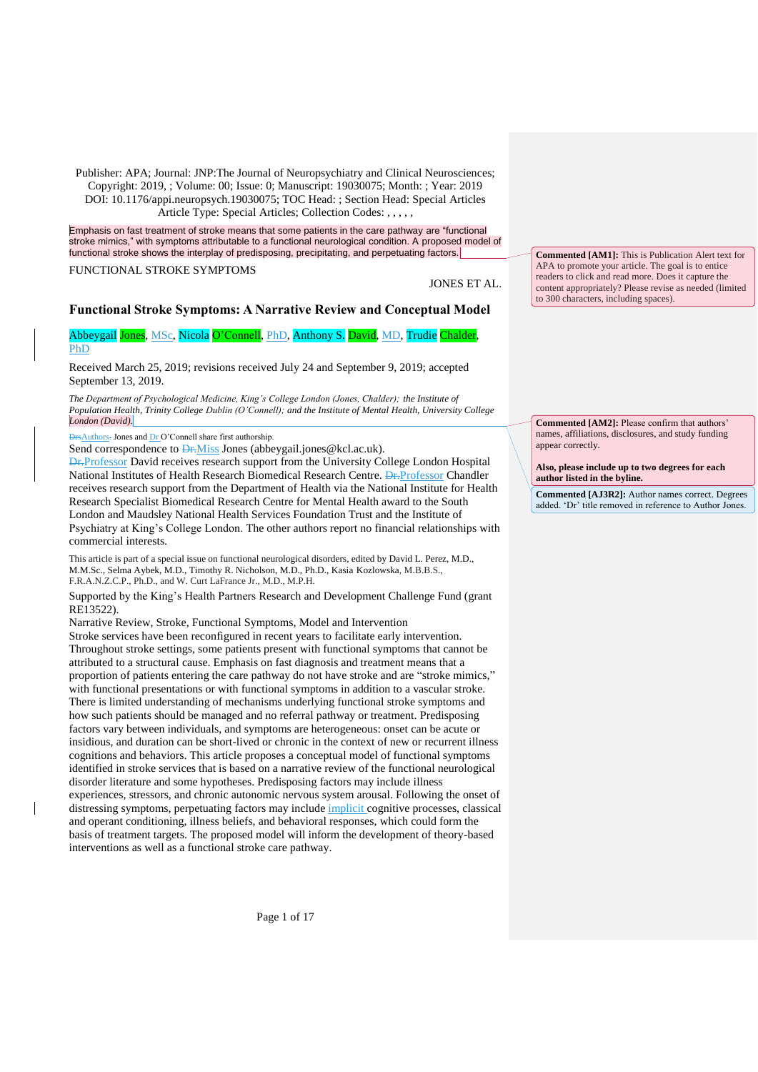Emphasis on fast treatment of stroke means that some patients in the care pathway are "functional stroke mimics," with symptoms attributable to a functional neurological condition. A proposed model of functional stroke shows the interplay of predisposing, precipitating, and perpetuating factors.

FUNCTIONAL STROKE SYMPTOMS

JONES ET AL.

## **Functional Stroke Symptoms: A Narrative Review and Conceptual Model**

Abbeygail Jones, MSc, Nicola O'Connell, PhD, Anthony S. David, MD, Trudie Chalder, PhD

Received March 25, 2019; revisions received July 24 and September 9, 2019; accepted September 13, 2019.

*The Department of Psychological Medicine, King's College London (Jones, Chalder); the Institute of Population Health, Trinity College Dublin (O'Connell); and the Institute of Mental Health, University College London (David).*

DrsAuthors. Jones and Dr O'Connell share first authorship.

Send correspondence to **Dr.**Miss Jones (abbeygail.jones@kcl.ac.uk).

**Dr.**Professor David receives research support from the University College London Hospital National Institutes of Health Research Biomedical Research Centre. <del>Dr.</del>Professor Chandler receives research support from the Department of Health via the National Institute for Health Research Specialist Biomedical Research Centre for Mental Health award to the South London and Maudsley National Health Services Foundation Trust and the Institute of Psychiatry at King's College London. The other authors report no financial relationships with commercial interests.

This article is part of a special issue on functional neurological disorders, edited by David L. Perez, M.D., M.M.Sc., Selma Aybek, M.D., Timothy R. Nicholson, M.D., Ph.D., Kasia [Kozlowska,](http://journals.sagepub.com/author/Kozlowska%2C+Kasia) M.B.B.S., F.R.A.N.Z.C.P., Ph.D., and W. Curt LaFrance Jr., M.D., M.P.H.

Supported by the King's Health Partners Research and Development Challenge Fund (grant RE13522).

Narrative Review, Stroke, Functional Symptoms, Model and Intervention Stroke services have been reconfigured in recent years to facilitate early intervention. Throughout stroke settings, some patients present with functional symptoms that cannot be attributed to a structural cause. Emphasis on fast diagnosis and treatment means that a proportion of patients entering the care pathway do not have stroke and are "stroke mimics," with functional presentations or with functional symptoms in addition to a vascular stroke. There is limited understanding of mechanisms underlying functional stroke symptoms and how such patients should be managed and no referral pathway or treatment. Predisposing factors vary between individuals, and symptoms are heterogeneous: onset can be acute or insidious, and duration can be short-lived or chronic in the context of new or recurrent illness cognitions and behaviors. This article proposes a conceptual model of functional symptoms identified in stroke services that is based on a narrative review of the functional neurological disorder literature and some hypotheses. Predisposing factors may include illness experiences, stressors, and chronic autonomic nervous system arousal. Following the onset of distressing symptoms, perpetuating factors may include implicit cognitive processes, classical and operant conditioning, illness beliefs, and behavioral responses, which could form the basis of treatment targets. The proposed model will inform the development of theory-based interventions as well as a functional stroke care pathway.

**Commented [AM1]:** This is Publication Alert text for APA to promote your article. The goal is to entice readers to click and read more. Does it capture the content appropriately? Please revise as needed (limited to 300 characters, including spaces).

**Commented [AM2]:** Please confirm that authors' names, affiliations, disclosures, and study funding appear correctly.

**Also, please include up to two degrees for each author listed in the byline.**

**Commented [AJ3R2]:** Author names correct. Degrees added. 'Dr' title removed in reference to Author Jones.

Page 1 of 17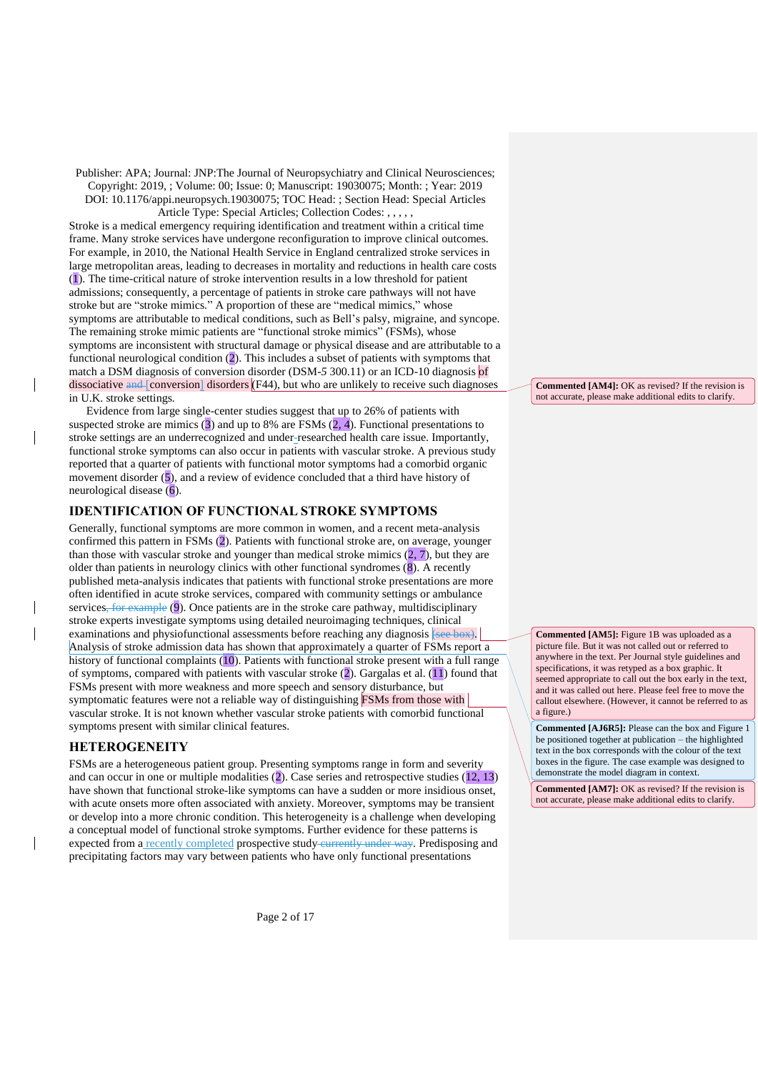Stroke is a medical emergency requiring identification and treatment within a critical time frame. Many stroke services have undergone reconfiguration to improve clinical outcomes. For example, in 2010, the National Health Service in England centralized stroke services in large metropolitan areas, leading to decreases in mortality and reductions in health care costs (1). The time-critical nature of stroke intervention results in a low threshold for patient admissions; consequently, a percentage of patients in stroke care pathways will not have stroke but are "stroke mimics." A proportion of these are "medical mimics," whose symptoms are attributable to medical conditions, such as Bell's palsy, migraine, and syncope. The remaining stroke mimic patients are "functional stroke mimics" (FSMs), whose symptoms are inconsistent with structural damage or physical disease and are attributable to a functional neurological condition (2). This includes a subset of patients with symptoms that match a DSM diagnosis of conversion disorder (DSM-*5* 300.11) or an ICD-10 diagnosis of dissociative  $\frac{1}{2}$  [conversion] disorders (F44), but who are unlikely to receive such diagnoses in U.K. stroke settings.

Evidence from large single-center studies suggest that up to 26% of patients with suspected stroke are mimics  $(3)$  and up to 8% are FSMs  $(2, 4)$ . Functional presentations to stroke settings are an underrecognized and under-researched health care issue. Importantly, functional stroke symptoms can also occur in patients with vascular stroke. A previous study reported that a quarter of patients with functional motor symptoms had a comorbid organic movement disorder (5), and a review of evidence concluded that a third have history of neurological disease  $\overline{(6)}$ .

## **IDENTIFICATION OF FUNCTIONAL STROKE SYMPTOMS**

Generally, functional symptoms are more common in women, and a recent meta-analysis confirmed this pattern in FSMs (2). Patients with functional stroke are, on average, younger than those with vascular stroke and younger than medical stroke mimics  $(2, 7)$ , but they are older than patients in neurology clinics with other functional syndromes (8). A recently published meta-analysis indicates that patients with functional stroke presentations are more often identified in acute stroke services, compared with community settings or ambulance services<del>, for example</del> (9). Once patients are in the stroke care pathway, multidisciplinary stroke experts investigate symptoms using detailed neuroimaging techniques, clinical examinations and physiofunctional assessments before reaching any diagnosis (see box). Analysis of stroke admission data has shown that approximately a quarter of FSMs report a history of functional complaints (10). Patients with functional stroke present with a full range of symptoms, compared with patients with vascular stroke (2). Gargalas et al. (11) found that FSMs present with more weakness and more speech and sensory disturbance, but symptomatic features were not a reliable way of distinguishing FSMs from those with vascular stroke. It is not known whether vascular stroke patients with comorbid functional symptoms present with similar clinical features.

## **HETEROGENEITY**

 $\overline{\phantom{a}}$ 

 $\overline{\phantom{a}}$ 

FSMs are a heterogeneous patient group. Presenting symptoms range in form and severity and can occur in one or multiple modalities (2). Case series and retrospective studies (12, 13) have shown that functional stroke-like symptoms can have a sudden or more insidious onset, with acute onsets more often associated with anxiety. Moreover, symptoms may be transient or develop into a more chronic condition. This heterogeneity is a challenge when developing a conceptual model of functional stroke symptoms. Further evidence for these patterns is expected from a recently completed prospective study currently under way. Predisposing and precipitating factors may vary between patients who have only functional presentations

**Commented [AM4]:** OK as revised? If the revision is not accurate, please make additional edits to clarify.

**Commented [AM5]:** Figure 1B was uploaded as a picture file. But it was not called out or referred to anywhere in the text. Per Journal style guidelines and specifications, it was retyped as a box graphic. It seemed appropriate to call out the box early in the text, and it was called out here. Please feel free to move the callout elsewhere. (However, it cannot be referred to as a figure.)

**Commented [AJ6R5]:** Please can the box and Figure 1 be positioned together at publication – the highlighted text in the box corresponds with the colour of the text boxes in the figure. The case example was designed to demonstrate the model diagram in context.

**Commented [AM7]:** OK as revised? If the revision is not accurate, please make additional edits to clarify.

Page 2 of 17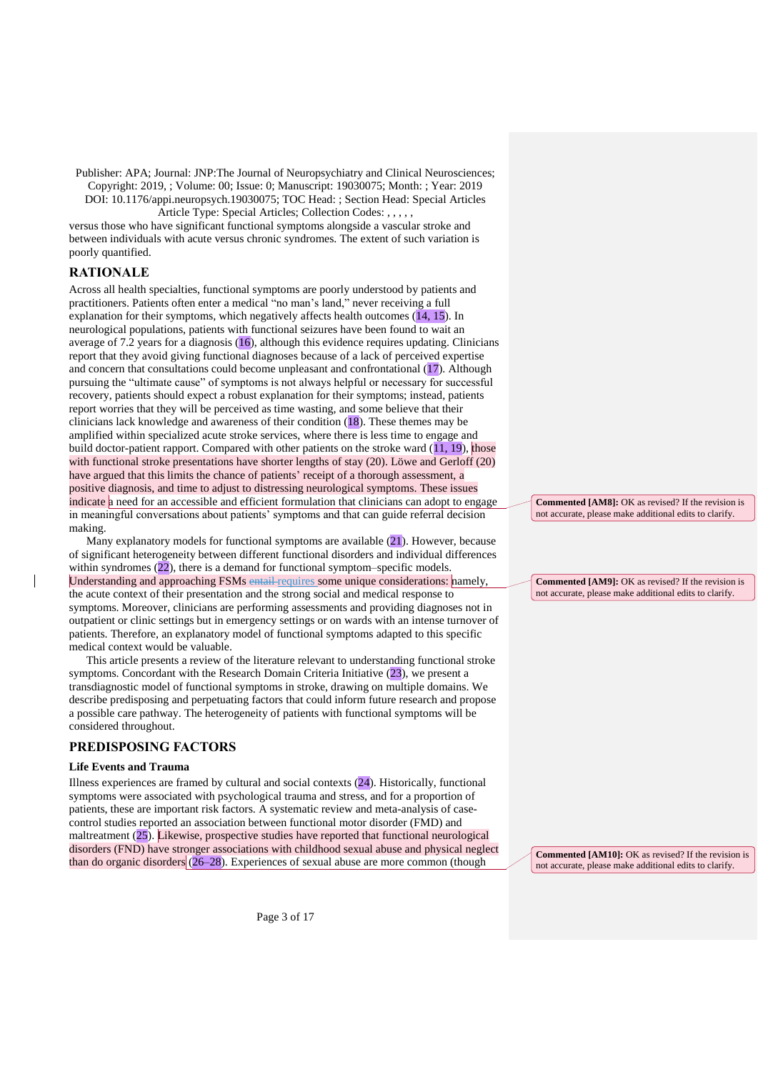Article Type: Special Articles; Collection Codes: , , , , ,

versus those who have significant functional symptoms alongside a vascular stroke and between individuals with acute versus chronic syndromes. The extent of such variation is poorly quantified.

# **RATIONALE**

Across all health specialties, functional symptoms are poorly understood by patients and practitioners. Patients often enter a medical "no man's land," never receiving a full explanation for their symptoms, which negatively affects health outcomes  $(14, 15)$ . In neurological populations, patients with functional seizures have been found to wait an average of 7.2 years for a diagnosis (16), although this evidence requires updating. Clinicians report that they avoid giving functional diagnoses because of a lack of perceived expertise and concern that consultations could become unpleasant and confrontational (17). Although pursuing the "ultimate cause" of symptoms is not always helpful or necessary for successful recovery, patients should expect a robust explanation for their symptoms; instead, patients report worries that they will be perceived as time wasting, and some believe that their clinicians lack knowledge and awareness of their condition (18). These themes may be amplified within specialized acute stroke services, where there is less time to engage and build doctor-patient rapport. Compared with other patients on the stroke ward (11, 19), those with functional stroke presentations have shorter lengths of stay (20). Löwe and Gerloff (20) have argued that this limits the chance of patients' receipt of a thorough assessment, a positive diagnosis, and time to adjust to distressing neurological symptoms. These issues indicate a need for an accessible and efficient formulation that clinicians can adopt to engage in meaningful conversations about patients' symptoms and that can guide referral decision making.

Many explanatory models for functional symptoms are available (21). However, because of significant heterogeneity between different functional disorders and individual differences within syndromes (22), there is a demand for functional symptom–specific models. Understanding and approaching FSMs entail requires some unique considerations: namely, the acute context of their presentation and the strong social and medical response to symptoms. Moreover, clinicians are performing assessments and providing diagnoses not in outpatient or clinic settings but in emergency settings or on wards with an intense turnover of patients. Therefore, an explanatory model of functional symptoms adapted to this specific medical context would be valuable.

This article presents a review of the literature relevant to understanding functional stroke symptoms. Concordant with the Research Domain Criteria Initiative (23), we present a transdiagnostic model of functional symptoms in stroke, drawing on multiple domains. We describe predisposing and perpetuating factors that could inform future research and propose a possible care pathway. The heterogeneity of patients with functional symptoms will be considered throughout.

## **PREDISPOSING FACTORS**

## **Life Events and Trauma**

Illness experiences are framed by cultural and social contexts (24). Historically, functional symptoms were associated with psychological trauma and stress, and for a proportion of patients, these are important risk factors. A systematic review and meta-analysis of casecontrol studies reported an association between functional motor disorder (FMD) and maltreatment (25). Likewise, prospective studies have reported that functional neurological disorders (FND) have stronger associations with childhood sexual abuse and physical neglect than do organic disorders  $(26-28)$ . Experiences of sexual abuse are more common (though

**Commented [AM8]:** OK as revised? If the revision is not accurate, please make additional edits to clarify.

**Commented [AM9]:** OK as revised? If the revision is not accurate, please make additional edits to clarify.

**Commented [AM10]:** OK as revised? If the revision is not accurate, please make additional edits to clarify.

Page 3 of 17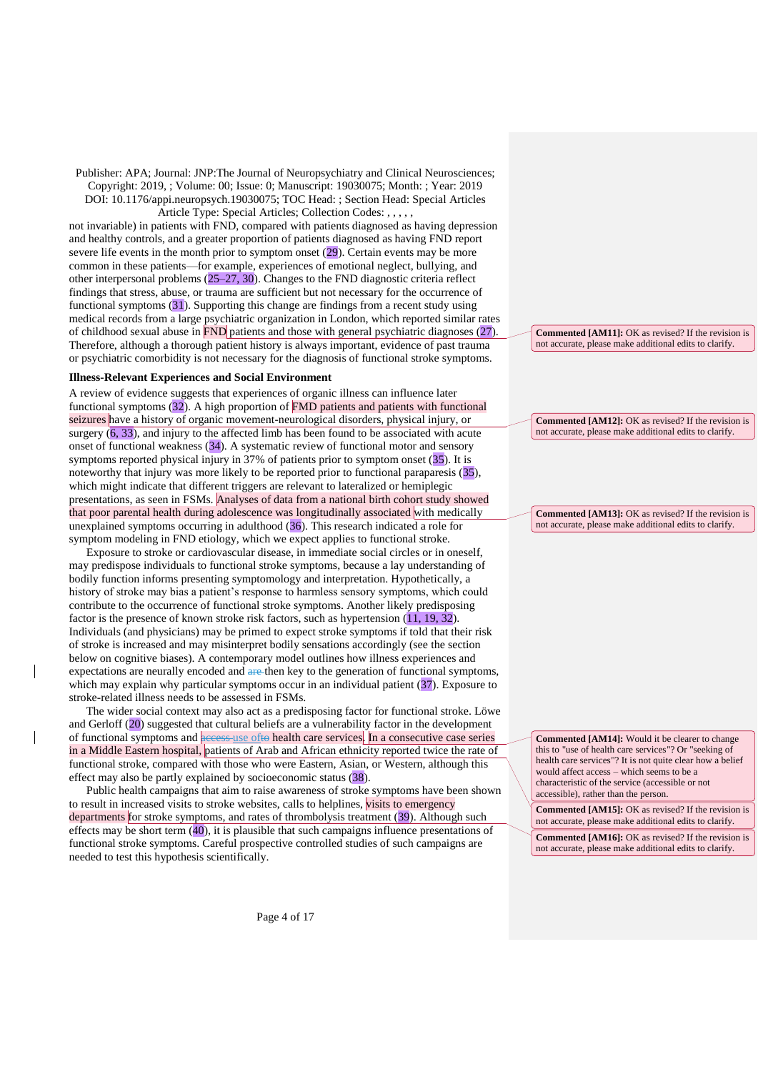not invariable) in patients with FND, compared with patients diagnosed as having depression and healthy controls, and a greater proportion of patients diagnosed as having FND report severe life events in the month prior to symptom onset (29). Certain events may be more common in these patients—for example, experiences of emotional neglect, bullying, and other interpersonal problems (25–27, 30). Changes to the FND diagnostic criteria reflect findings that stress, abuse, or trauma are sufficient but not necessary for the occurrence of functional symptoms (31). Supporting this change are findings from a recent study using medical records from a large psychiatric organization in London, which reported similar rates of childhood sexual abuse in FND patients and those with general psychiatric diagnoses (27). Therefore, although a thorough patient history is always important, evidence of past trauma or psychiatric comorbidity is not necessary for the diagnosis of functional stroke symptoms.

#### **Illness-Relevant Experiences and Social Environment**

A review of evidence suggests that experiences of organic illness can influence later functional symptoms (32). A high proportion of FMD patients and patients with functional seizures have a history of organic movement-neurological disorders, physical injury, or surgery (6, 33), and injury to the affected limb has been found to be associated with acute onset of functional weakness (34). A systematic review of functional motor and sensory symptoms reported physical injury in 37% of patients prior to symptom onset (35). It is noteworthy that injury was more likely to be reported prior to functional paraparesis (35), which might indicate that different triggers are relevant to lateralized or hemiplegic presentations, as seen in FSMs. Analyses of data from a national birth cohort study showed that poor parental health during adolescence was longitudinally associated with medically unexplained symptoms occurring in adulthood (36). This research indicated a role for symptom modeling in FND etiology, which we expect applies to functional stroke.

Exposure to stroke or cardiovascular disease, in immediate social circles or in oneself, may predispose individuals to functional stroke symptoms, because a lay understanding of bodily function informs presenting symptomology and interpretation. Hypothetically, a history of stroke may bias a patient's response to harmless sensory symptoms, which could contribute to the occurrence of functional stroke symptoms. Another likely predisposing factor is the presence of known stroke risk factors, such as hypertension (11, 19, 32). Individuals (and physicians) may be primed to expect stroke symptoms if told that their risk of stroke is increased and may misinterpret bodily sensations accordingly (see the section below on cognitive biases). A contemporary model outlines how illness experiences and expectations are neurally encoded and are then key to the generation of functional symptoms, which may explain why particular symptoms occur in an individual patient (37). Exposure to stroke-related illness needs to be assessed in FSMs.

The wider social context may also act as a predisposing factor for functional stroke. Löwe and Gerloff (20) suggested that cultural beliefs are a vulnerability factor in the development of functional symptoms and **access** use ofto health care services. In a consecutive case series in a Middle Eastern hospital, patients of Arab and African ethnicity reported twice the rate of functional stroke, compared with those who were Eastern, Asian, or Western, although this effect may also be partly explained by socioeconomic status (38).

Public health campaigns that aim to raise awareness of stroke symptoms have been shown to result in increased visits to stroke websites, calls to helplines, visits to emergency departments for stroke symptoms, and rates of thrombolysis treatment (39). Although such effects may be short term (40), it is plausible that such campaigns influence presentations of functional stroke symptoms. Careful prospective controlled studies of such campaigns are needed to test this hypothesis scientifically.

**Commented [AM11]:** OK as revised? If the revision is not accurate, please make additional edits to clarify.

**Commented [AM12]:** OK as revised? If the revision is not accurate, please make additional edits to clarify.

**Commented [AM13]:** OK as revised? If the revision is not accurate, please make additional edits to clarify.

**Commented [AM14]:** Would it be clearer to change this to "use of health care services"? Or "seeking of health care services"? It is not quite clear how a belief would affect access – which seems to be a characteristic of the service (accessible or not accessible), rather than the person.

**Commented [AM15]:** OK as revised? If the revision is not accurate, please make additional edits to clarify. **Commented [AM16]:** OK as revised? If the revision is not accurate, please make additional edits to clarify.

Page 4 of 17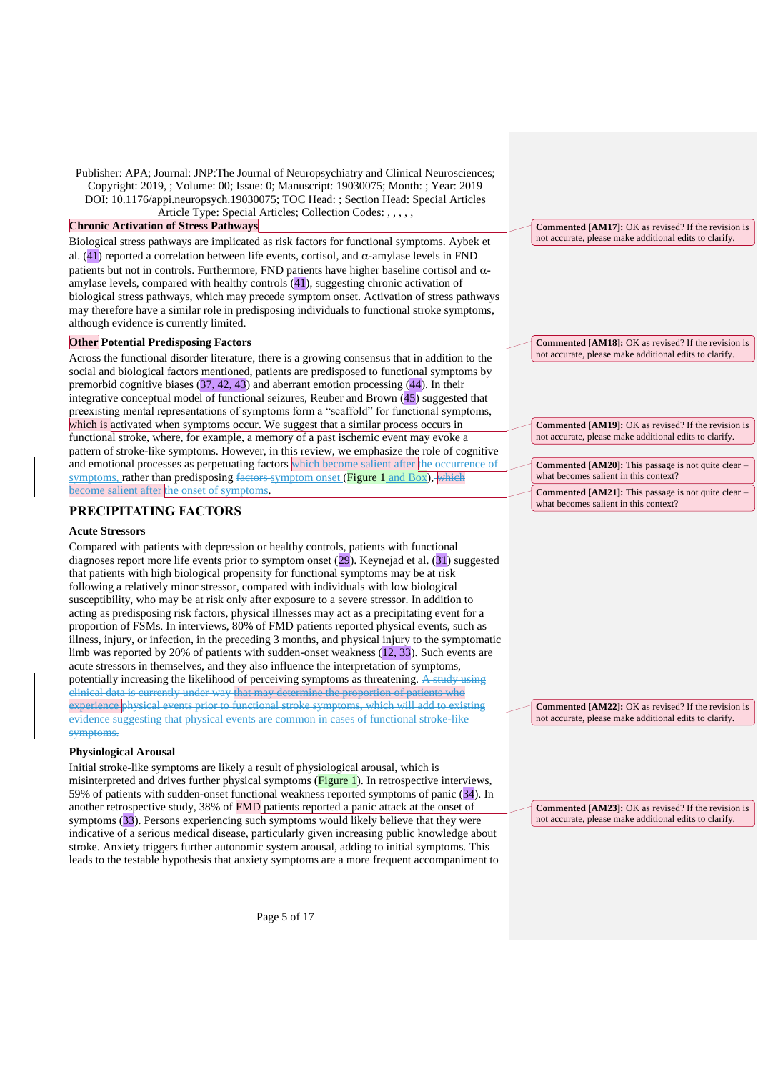### **Chronic Activation of Stress Pathways**

Biological stress pathways are implicated as risk factors for functional symptoms. Aybek et al. (41) reported a correlation between life events, cortisol, and  $\alpha$ -amylase levels in FND patients but not in controls. Furthermore, FND patients have higher baseline cortisol and  $\alpha$ amylase levels, compared with healthy controls (41), suggesting chronic activation of biological stress pathways, which may precede symptom onset. Activation of stress pathways may therefore have a similar role in predisposing individuals to functional stroke symptoms, although evidence is currently limited.

## **Other Potential Predisposing Factors**

Across the functional disorder literature, there is a growing consensus that in addition to the social and biological factors mentioned, patients are predisposed to functional symptoms by premorbid cognitive biases  $(37, 42, 43)$  and aberrant emotion processing  $(44)$ . In their integrative conceptual model of functional seizures, Reuber and Brown (45) suggested that preexisting mental representations of symptoms form a "scaffold" for functional symptoms, which is activated when symptoms occur. We suggest that a similar process occurs in functional stroke, where, for example, a memory of a past ischemic event may evoke a pattern of stroke-like symptoms. However, in this review, we emphasize the role of cognitive and emotional processes as perpetuating factors which become salient after the occurrence of symptoms, rather than predisposing factors symptom onset (Figure 1 and Box), which become salient after the onset of symptoms.

## **PRECIPITATING FACTORS**

#### **Acute Stressors**

Compared with patients with depression or healthy controls, patients with functional diagnoses report more life events prior to symptom onset (29). Keynejad et al. (31) suggested that patients with high biological propensity for functional symptoms may be at risk following a relatively minor stressor, compared with individuals with low biological susceptibility, who may be at risk only after exposure to a severe stressor. In addition to acting as predisposing risk factors, physical illnesses may act as a precipitating event for a proportion of FSMs. In interviews, 80% of FMD patients reported physical events, such as illness, injury, or infection, in the preceding 3 months, and physical injury to the symptomatic limb was reported by 20% of patients with sudden-onset weakness (12, 33). Such events are acute stressors in themselves, and they also influence the interpretation of symptoms, potentially increasing the likelihood of perceiving symptoms as threatening. A study using clinical data is currently under way that may determine the proportion of patients who experience physical events prior to functional stroke symptoms, which will add to existing evidence suggesting that physical events are common in cases of functional stroke-like symptoms.

### **Physiological Arousal**

Initial stroke-like symptoms are likely a result of physiological arousal, which is misinterpreted and drives further physical symptoms (**Figure 1**). In retrospective interviews, 59% of patients with sudden-onset functional weakness reported symptoms of panic (34). In another retrospective study, 38% of  $FMD$  patients reported a panic attack at the onset of symptoms (33). Persons experiencing such symptoms would likely believe that they were indicative of a serious medical disease, particularly given increasing public knowledge about stroke. Anxiety triggers further autonomic system arousal, adding to initial symptoms. This leads to the testable hypothesis that anxiety symptoms are a more frequent accompaniment to

**Commented [AM17]:** OK as revised? If the revision is not accurate, please make additional edits to clarify.

**Commented [AM18]:** OK as revised? If the revision is not accurate, please make additional edits to clarify.

**Commented [AM19]:** OK as revised? If the revision is not accurate, please make additional edits to clarify.

**Commented [AM20]:** This passage is not quite clear – what becomes salient in this context? **Commented [AM21]:** This passage is not quite clear – what becomes salient in this context?

**Commented [AM22]:** OK as revised? If the revision is not accurate, please make additional edits to clarify.

**Commented [AM23]:** OK as revised? If the revision is not accurate, please make additional edits to clarify.

Page 5 of 17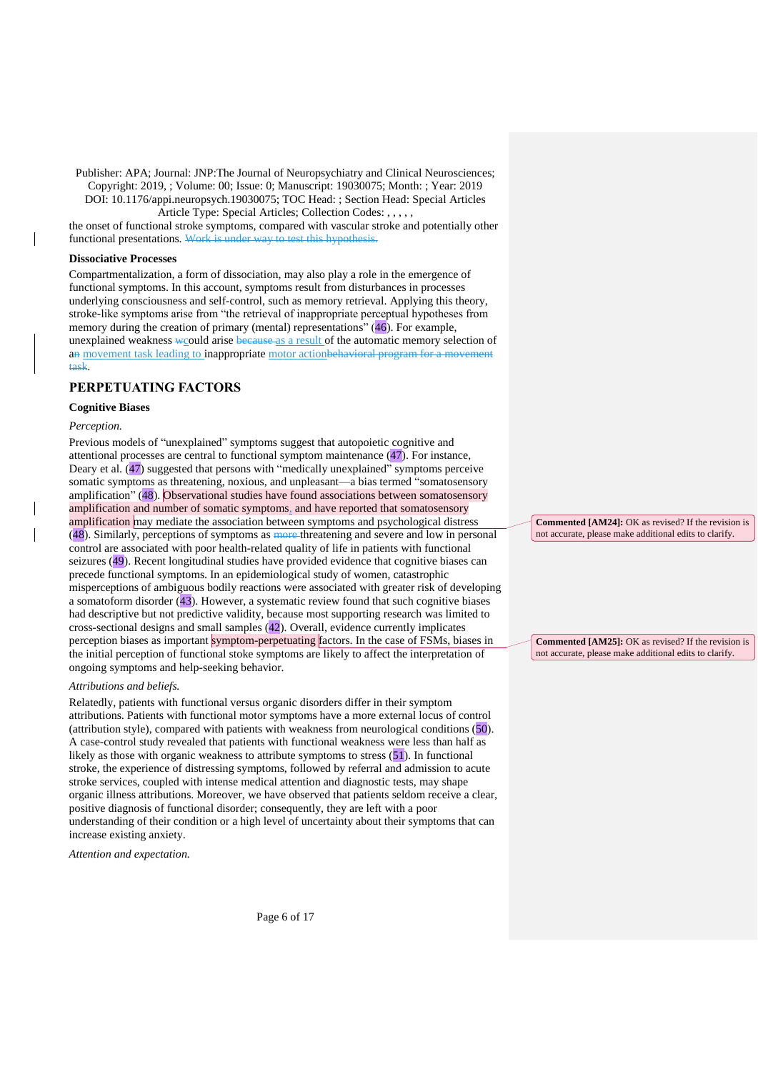Article Type: Special Articles; Collection Codes: , , , , ,

the onset of functional stroke symptoms, compared with vascular stroke and potentially other functional presentations. Work is under way to test this hypothesis.

## **Dissociative Processes**

Compartmentalization, a form of dissociation, may also play a role in the emergence of functional symptoms. In this account, symptoms result from disturbances in processes underlying consciousness and self-control, such as memory retrieval. Applying this theory, stroke-like symptoms arise from "the retrieval of inappropriate perceptual hypotheses from memory during the creation of primary (mental) representations" (46). For example, unexplained weakness wcould arise because as a result of the automatic memory selection of an movement task leading to inappropriate motor actionbehavioral program for a movement task.

## **PERPETUATING FACTORS**

## **Cognitive Biases**

## *Perception.*

Previous models of "unexplained" symptoms suggest that autopoietic cognitive and attentional processes are central to functional symptom maintenance (47). For instance, Deary et al. (47) suggested that persons with "medically unexplained" symptoms perceive somatic symptoms as threatening, noxious, and unpleasant—a bias termed "somatosensory amplification" (48). Observational studies have found associations between somatosensory amplification and number of somatic symptoms, and have reported that somatosensory amplification may mediate the association between symptoms and psychological distress (48). Similarly, perceptions of symptoms as more threatening and severe and low in personal control are associated with poor health-related quality of life in patients with functional seizures (49). Recent longitudinal studies have provided evidence that cognitive biases can precede functional symptoms. In an epidemiological study of women, catastrophic misperceptions of ambiguous bodily reactions were associated with greater risk of developing a somatoform disorder (43). However, a systematic review found that such cognitive biases had descriptive but not predictive validity, because most supporting research was limited to cross-sectional designs and small samples (42). Overall, evidence currently implicates perception biases as important symptom-perpetuating factors. In the case of FSMs, biases in the initial perception of functional stoke symptoms are likely to affect the interpretation of ongoing symptoms and help-seeking behavior.

#### *Attributions and beliefs.*

Relatedly, patients with functional versus organic disorders differ in their symptom attributions. Patients with functional motor symptoms have a more external locus of control (attribution style), compared with patients with weakness from neurological conditions (50). A case-control study revealed that patients with functional weakness were less than half as likely as those with organic weakness to attribute symptoms to stress (51). In functional stroke, the experience of distressing symptoms, followed by referral and admission to acute stroke services, coupled with intense medical attention and diagnostic tests, may shape organic illness attributions. Moreover, we have observed that patients seldom receive a clear, positive diagnosis of functional disorder; consequently, they are left with a poor understanding of their condition or a high level of uncertainty about their symptoms that can increase existing anxiety.

*Attention and expectation.*

**Commented [AM24]:** OK as revised? If the revision is not accurate, please make additional edits to clarify.

**Commented [AM25]:** OK as revised? If the revision is not accurate, please make additional edits to clarify.

Page 6 of 17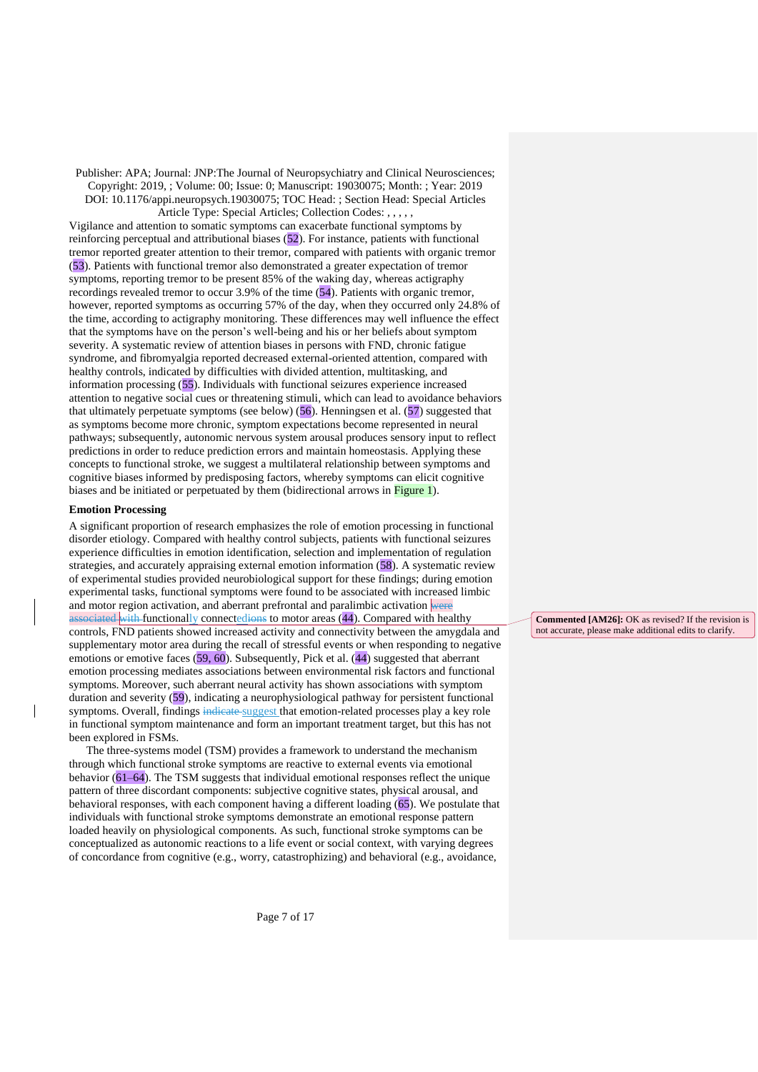Vigilance and attention to somatic symptoms can exacerbate functional symptoms by reinforcing perceptual and attributional biases (52). For instance, patients with functional tremor reported greater attention to their tremor, compared with patients with organic tremor (53). Patients with functional tremor also demonstrated a greater expectation of tremor symptoms, reporting tremor to be present 85% of the waking day, whereas actigraphy recordings revealed tremor to occur 3.9% of the time (54). Patients with organic tremor, however, reported symptoms as occurring 57% of the day, when they occurred only 24.8% of the time, according to actigraphy monitoring. These differences may well influence the effect that the symptoms have on the person's well-being and his or her beliefs about symptom severity. A systematic review of attention biases in persons with FND, chronic fatigue syndrome, and fibromyalgia reported decreased external-oriented attention, compared with healthy controls, indicated by difficulties with divided attention, multitasking, and information processing (55). Individuals with functional seizures experience increased attention to negative social cues or threatening stimuli, which can lead to avoidance behaviors that ultimately perpetuate symptoms (see below)  $(56)$ . Henningsen et al.  $(57)$  suggested that as symptoms become more chronic, symptom expectations become represented in neural pathways; subsequently, autonomic nervous system arousal produces sensory input to reflect predictions in order to reduce prediction errors and maintain homeostasis. Applying these concepts to functional stroke, we suggest a multilateral relationship between symptoms and cognitive biases informed by predisposing factors, whereby symptoms can elicit cognitive biases and be initiated or perpetuated by them (bidirectional arrows in Figure 1).

### **Emotion Processing**

A significant proportion of research emphasizes the role of emotion processing in functional disorder etiology. Compared with healthy control subjects, patients with functional seizures experience difficulties in emotion identification, selection and implementation of regulation strategies, and accurately appraising external emotion information (58). A systematic review of experimental studies provided neurobiological support for these findings; during emotion experimental tasks, functional symptoms were found to be associated with increased limbic and motor region activation, and aberrant prefrontal and paralimbic activation were  $\frac{1}{\text{associated with functionally connected}}$  connectedions to motor areas (44). Compared with healthy controls, FND patients showed increased activity and connectivity between the amygdala and supplementary motor area during the recall of stressful events or when responding to negative emotions or emotive faces (59, 60). Subsequently, Pick et al. (44) suggested that aberrant emotion processing mediates associations between environmental risk factors and functional symptoms. Moreover, such aberrant neural activity has shown associations with symptom duration and severity (59), indicating a neurophysiological pathway for persistent functional symptoms. Overall, findings indicate suggest that emotion-related processes play a key role in functional symptom maintenance and form an important treatment target, but this has not been explored in FSMs.

The three-systems model (TSM) provides a framework to understand the mechanism through which functional stroke symptoms are reactive to external events via emotional behavior (61–64). The TSM suggests that individual emotional responses reflect the unique pattern of three discordant components: subjective cognitive states, physical arousal, and behavioral responses, with each component having a different loading (65). We postulate that individuals with functional stroke symptoms demonstrate an emotional response pattern loaded heavily on physiological components. As such, functional stroke symptoms can be conceptualized as autonomic reactions to a life event or social context, with varying degrees of concordance from cognitive (e.g., worry, catastrophizing) and behavioral (e.g., avoidance,

**Commented [AM26]:** OK as revised? If the revision is not accurate, please make additional edits to clarify.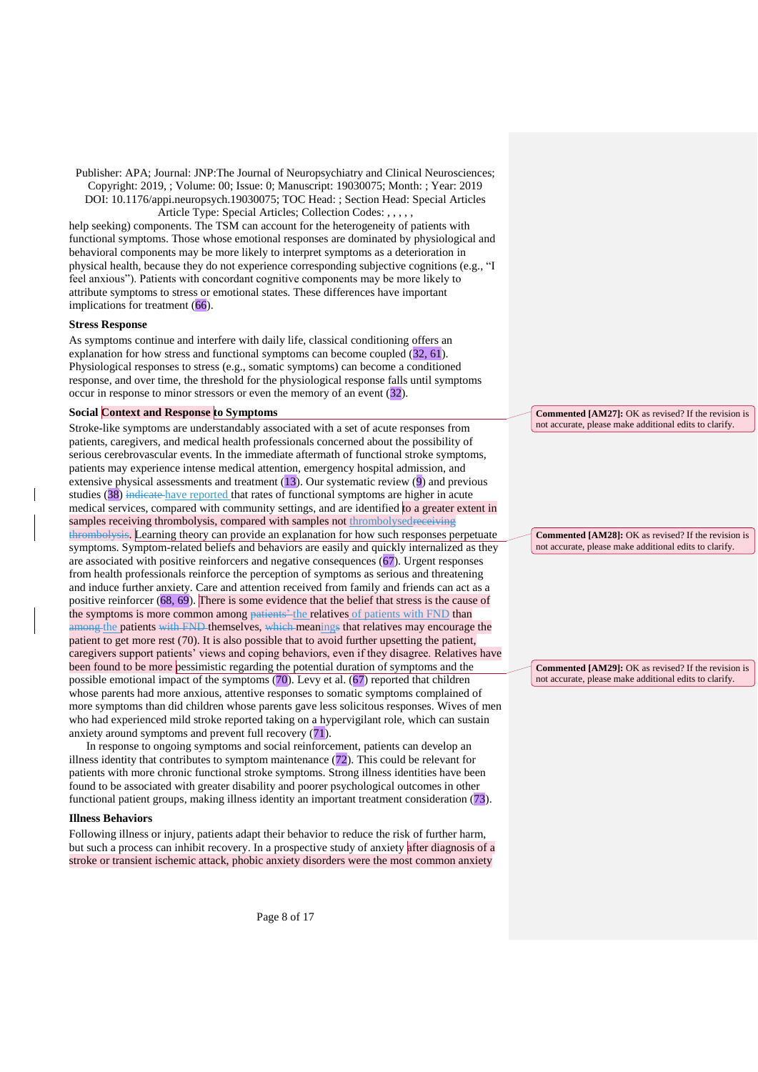Article Type: Special Articles; Collection Codes: , , , , ,

help seeking) components. The TSM can account for the heterogeneity of patients with functional symptoms. Those whose emotional responses are dominated by physiological and behavioral components may be more likely to interpret symptoms as a deterioration in physical health, because they do not experience corresponding subjective cognitions (e.g., "I feel anxious"). Patients with concordant cognitive components may be more likely to attribute symptoms to stress or emotional states. These differences have important implications for treatment (66).

#### **Stress Response**

As symptoms continue and interfere with daily life, classical conditioning offers an explanation for how stress and functional symptoms can become coupled (32, 61). Physiological responses to stress (e.g., somatic symptoms) can become a conditioned response, and over time, the threshold for the physiological response falls until symptoms occur in response to minor stressors or even the memory of an event (32).

## **Social Context and Response to Symptoms**

Stroke-like symptoms are understandably associated with a set of acute responses from patients, caregivers, and medical health professionals concerned about the possibility of serious cerebrovascular events. In the immediate aftermath of functional stroke symptoms, patients may experience intense medical attention, emergency hospital admission, and extensive physical assessments and treatment  $(13)$ . Our systematic review  $(9)$  and previous studies (38) indicate have reported that rates of functional symptoms are higher in acute medical services, compared with community settings, and are identified to a greater extent in samples receiving thrombolysis, compared with samples not thrombolysedreceiving thrombolysis. Learning theory can provide an explanation for how such responses perpetuate symptoms. Symptom-related beliefs and behaviors are easily and quickly internalized as they are associated with positive reinforcers and negative consequences (67). Urgent responses from health professionals reinforce the perception of symptoms as serious and threatening and induce further anxiety. Care and attention received from family and friends can act as a positive reinforcer (68, 69). There is some evidence that the belief that stress is the cause of the symptoms is more common among patients' the relatives of patients with FND than among the patients with FND themselves, which meanings that relatives may encourage the patient to get more rest (70). It is also possible that to avoid further upsetting the patient, caregivers support patients' views and coping behaviors, even if they disagree. Relatives have been found to be more pessimistic regarding the potential duration of symptoms and the possible emotional impact of the symptoms (70). Levy et al. (67) reported that children whose parents had more anxious, attentive responses to somatic symptoms complained of more symptoms than did children whose parents gave less solicitous responses. Wives of men who had experienced mild stroke reported taking on a hypervigilant role, which can sustain anxiety around symptoms and prevent full recovery (71).

In response to ongoing symptoms and social reinforcement, patients can develop an illness identity that contributes to symptom maintenance  $(72)$ . This could be relevant for patients with more chronic functional stroke symptoms. Strong illness identities have been found to be associated with greater disability and poorer psychological outcomes in other functional patient groups, making illness identity an important treatment consideration (73).

## **Illness Behaviors**

Following illness or injury, patients adapt their behavior to reduce the risk of further harm, but such a process can inhibit recovery. In a prospective study of anxiety after diagnosis of a stroke or transient ischemic attack, phobic anxiety disorders were the most common anxiety

**Commented [AM27]:** OK as revised? If the revision is not accurate, please make additional edits to clarify.

**Commented [AM28]:** OK as revised? If the revision is not accurate, please make additional edits to clarify.

**Commented [AM29]:** OK as revised? If the revision is not accurate, please make additional edits to clarify.

Page 8 of 17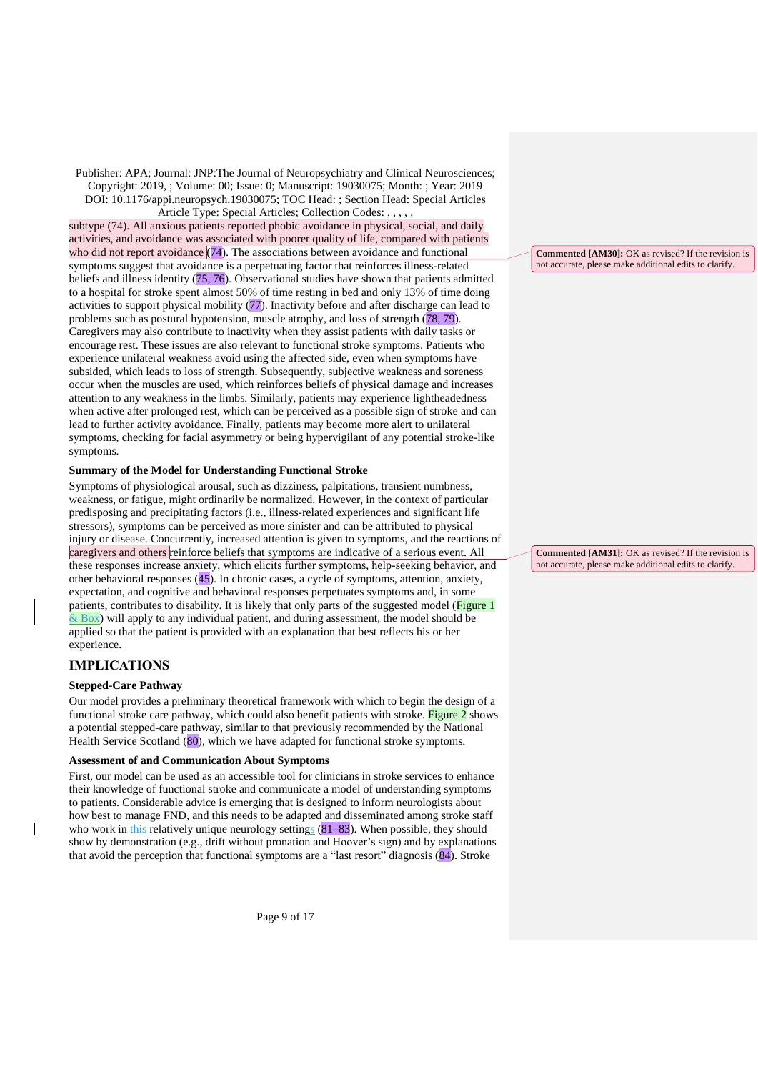Article Type: Special Articles; Collection Codes: , , , subtype (74). All anxious patients reported phobic avoidance in physical, social, and daily activities, and avoidance was associated with poorer quality of life, compared with patients who did not report avoidance  $(74)$ . The associations between avoidance and functional symptoms suggest that avoidance is a perpetuating factor that reinforces illness-related beliefs and illness identity (75, 76). Observational studies have shown that patients admitted to a hospital for stroke spent almost 50% of time resting in bed and only 13% of time doing activities to support physical mobility (77). Inactivity before and after discharge can lead to problems such as postural hypotension, muscle atrophy, and loss of strength (78, 79). Caregivers may also contribute to inactivity when they assist patients with daily tasks or encourage rest. These issues are also relevant to functional stroke symptoms. Patients who experience unilateral weakness avoid using the affected side, even when symptoms have subsided, which leads to loss of strength. Subsequently, subjective weakness and soreness occur when the muscles are used, which reinforces beliefs of physical damage and increases attention to any weakness in the limbs. Similarly, patients may experience lightheadedness when active after prolonged rest, which can be perceived as a possible sign of stroke and can lead to further activity avoidance. Finally, patients may become more alert to unilateral symptoms, checking for facial asymmetry or being hypervigilant of any potential stroke-like symptoms.

## **Summary of the Model for Understanding Functional Stroke**

Symptoms of physiological arousal, such as dizziness, palpitations, transient numbness, weakness, or fatigue, might ordinarily be normalized. However, in the context of particular predisposing and precipitating factors (i.e., illness-related experiences and significant life stressors), symptoms can be perceived as more sinister and can be attributed to physical injury or disease. Concurrently, increased attention is given to symptoms, and the reactions of caregivers and others reinforce beliefs that symptoms are indicative of a serious event. All these responses increase anxiety, which elicits further symptoms, help-seeking behavior, and other behavioral responses (45). In chronic cases, a cycle of symptoms, attention, anxiety, expectation, and cognitive and behavioral responses perpetuates symptoms and, in some patients, contributes to disability. It is likely that only parts of the suggested model (Figure 1  $\&$  Box) will apply to any individual patient, and during assessment, the model should be applied so that the patient is provided with an explanation that best reflects his or her experience.

## **IMPLICATIONS**

 $\overline{\phantom{a}}$ 

### **Stepped-Care Pathway**

Our model provides a preliminary theoretical framework with which to begin the design of a functional stroke care pathway, which could also benefit patients with stroke. Figure 2 shows a potential stepped-care pathway, similar to that previously recommended by the National Health Service Scotland (80), which we have adapted for functional stroke symptoms.

### **Assessment of and Communication About Symptoms**

First, our model can be used as an accessible tool for clinicians in stroke services to enhance their knowledge of functional stroke and communicate a model of understanding symptoms to patients. Considerable advice is emerging that is designed to inform neurologists about how best to manage FND, and this needs to be adapted and disseminated among stroke staff who work in this relatively unique neurology settings  $(81–83)$ . When possible, they should show by demonstration (e.g., drift without pronation and Hoover's sign) and by explanations that avoid the perception that functional symptoms are a "last resort" diagnosis (84). Stroke

**Commented [AM30]:** OK as revised? If the revision is not accurate, please make additional edits to clarify.

**Commented [AM31]:** OK as revised? If the revision is not accurate, please make additional edits to clarify.

Page 9 of 17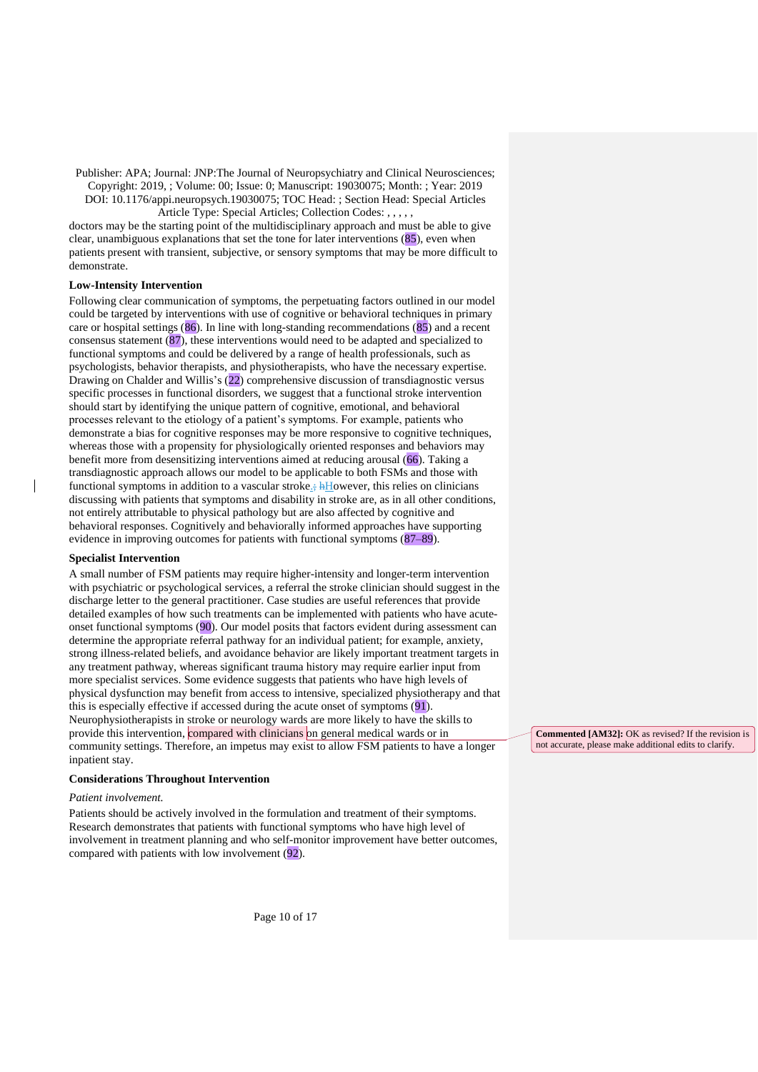Article Type: Special Articles; Collection Codes: , , , , ,

doctors may be the starting point of the multidisciplinary approach and must be able to give clear, unambiguous explanations that set the tone for later interventions (85), even when patients present with transient, subjective, or sensory symptoms that may be more difficult to demonstrate.

## **Low-Intensity Intervention**

Following clear communication of symptoms, the perpetuating factors outlined in our model could be targeted by interventions with use of cognitive or behavioral techniques in primary care or hospital settings (86). In line with long-standing recommendations (85) and a recent consensus statement (87), these interventions would need to be adapted and specialized to functional symptoms and could be delivered by a range of health professionals, such as psychologists, behavior therapists, and physiotherapists, who have the necessary expertise. Drawing on Chalder and Willis's (22) comprehensive discussion of transdiagnostic versus specific processes in functional disorders, we suggest that a functional stroke intervention should start by identifying the unique pattern of cognitive, emotional, and behavioral processes relevant to the etiology of a patient's symptoms. For example, patients who demonstrate a bias for cognitive responses may be more responsive to cognitive techniques, whereas those with a propensity for physiologically oriented responses and behaviors may benefit more from desensitizing interventions aimed at reducing arousal (66). Taking a transdiagnostic approach allows our model to be applicable to both FSMs and those with functional symptoms in addition to a vascular stroke.;  $\frac{1}{2}$ However, this relies on clinicians discussing with patients that symptoms and disability in stroke are, as in all other conditions, not entirely attributable to physical pathology but are also affected by cognitive and behavioral responses. Cognitively and behaviorally informed approaches have supporting evidence in improving outcomes for patients with functional symptoms (87–89).

## **Specialist Intervention**

A small number of FSM patients may require higher-intensity and longer-term intervention with psychiatric or psychological services, a referral the stroke clinician should suggest in the discharge letter to the general practitioner. Case studies are useful references that provide detailed examples of how such treatments can be implemented with patients who have acuteonset functional symptoms (90). Our model posits that factors evident during assessment can determine the appropriate referral pathway for an individual patient; for example, anxiety, strong illness-related beliefs, and avoidance behavior are likely important treatment targets in any treatment pathway, whereas significant trauma history may require earlier input from more specialist services. Some evidence suggests that patients who have high levels of physical dysfunction may benefit from access to intensive, specialized physiotherapy and that this is especially effective if accessed during the acute onset of symptoms (91). Neurophysiotherapists in stroke or neurology wards are more likely to have the skills to provide this intervention, compared with clinicians on general medical wards or in community settings. Therefore, an impetus may exist to allow FSM patients to have a longer inpatient stay.

## **Considerations Throughout Intervention**

## *Patient involvement.*

Patients should be actively involved in the formulation and treatment of their symptoms. Research demonstrates that patients with functional symptoms who have high level of involvement in treatment planning and who self-monitor improvement have better outcomes, compared with patients with low involvement (92).

**Commented [AM32]:** OK as revised? If the revision is not accurate, please make additional edits to clarify.

Page 10 of 17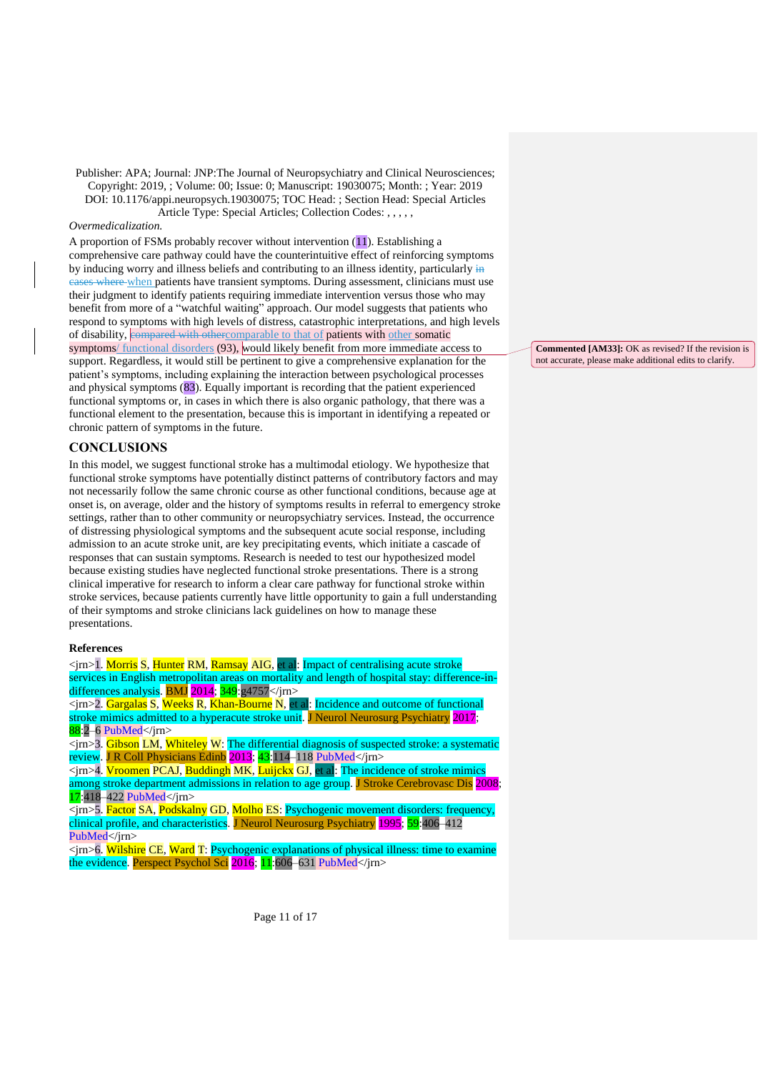### *Overmedicalization.*

A proportion of FSMs probably recover without intervention (11). Establishing a comprehensive care pathway could have the counterintuitive effect of reinforcing symptoms by inducing worry and illness beliefs and contributing to an illness identity, particularly in cases where when patients have transient symptoms. During assessment, clinicians must use their judgment to identify patients requiring immediate intervention versus those who may benefit from more of a "watchful waiting" approach. Our model suggests that patients who respond to symptoms with high levels of distress, catastrophic interpretations, and high levels of disability, compared with othercomparable to that of patients with other somatic symptoms/ functional disorders (93), would likely benefit from more immediate access to support. Regardless, it would still be pertinent to give a comprehensive explanation for the patient's symptoms, including explaining the interaction between psychological processes and physical symptoms (83). Equally important is recording that the patient experienced functional symptoms or, in cases in which there is also organic pathology, that there was a functional element to the presentation, because this is important in identifying a repeated or chronic pattern of symptoms in the future.

# **CONCLUSIONS**

In this model, we suggest functional stroke has a multimodal etiology. We hypothesize that functional stroke symptoms have potentially distinct patterns of contributory factors and may not necessarily follow the same chronic course as other functional conditions, because age at onset is, on average, older and the history of symptoms results in referral to emergency stroke settings, rather than to other community or neuropsychiatry services. Instead, the occurrence of distressing physiological symptoms and the subsequent acute social response, including admission to an acute stroke unit, are key precipitating events, which initiate a cascade of responses that can sustain symptoms. Research is needed to test our hypothesized model because existing studies have neglected functional stroke presentations. There is a strong clinical imperative for research to inform a clear care pathway for functional stroke within stroke services, because patients currently have little opportunity to gain a full understanding of their symptoms and stroke clinicians lack guidelines on how to manage these presentations.

### **References**

<jrn>1. Morris S, Hunter RM, Ramsay AIG, et al: Impact of centralising acute stroke services in English metropolitan areas on mortality and length of hospital stay: difference-indifferences analysis. BMJ 2014; 349:g4757</jrn>  $\overline{\text{Sim}}$   $\overline{\text{Gargalas}}$  S, Weeks R, Khan-Bourne N, et al: Incidence and outcome of functional

stroke mimics admitted to a hyperacute stroke unit. J Neurol Neurosurg Psychiatry 2017;  $88:2-6$  PubMed $\langle$ irn $\rangle$ 

<jrn>3. Gibson LM, Whiteley W: The differential diagnosis of suspected stroke: a systematic review. J R Coll Physicians Edinb 2013; 43:114–118 [PubMed<](https://www.ncbi.nlm.nih.gov/entrez/query.fcgi?cmd=Retrieve&db=PubMed&list_uids=23734351&dopt=Abstract)/jrn>

<jrn>4. Vroomen PCAJ, Buddingh MK, Luijckx GJ, et al: The incidence of stroke mimics among stroke department admissions in relation to age group. J Stroke Cerebrovasc Dis 2008; 17:418–422 [PubMed<](https://www.ncbi.nlm.nih.gov/entrez/query.fcgi?cmd=Retrieve&db=PubMed&list_uids=18984438&dopt=Abstract)/jrn>

<jrn>5. Factor SA, Podskalny GD, Molho ES: Psychogenic movement disorders: frequency, clinical profile, and characteristics. J Neurol Neurosurg Psychiatry 1995; 59:406-41[2](https://www.ncbi.nlm.nih.gov/entrez/query.fcgi?cmd=Retrieve&db=PubMed&list_uids=7561921&dopt=Abstract) [PubMed<](https://www.ncbi.nlm.nih.gov/entrez/query.fcgi?cmd=Retrieve&db=PubMed&list_uids=7561921&dopt=Abstract)/irn>

<jrn>6. Wilshire CE, Ward T: Psychogenic explanations of physical illness: time to examine the evidence. Perspect Psychol Sci 2016; 11:606-631 [PubMed<](https://www.ncbi.nlm.nih.gov/entrez/query.fcgi?cmd=Retrieve&db=PubMed&list_uids=27694458&dopt=Abstract)/jm>

**Commented [AM33]:** OK as revised? If the revision is not accurate, please make additional edits to clarify.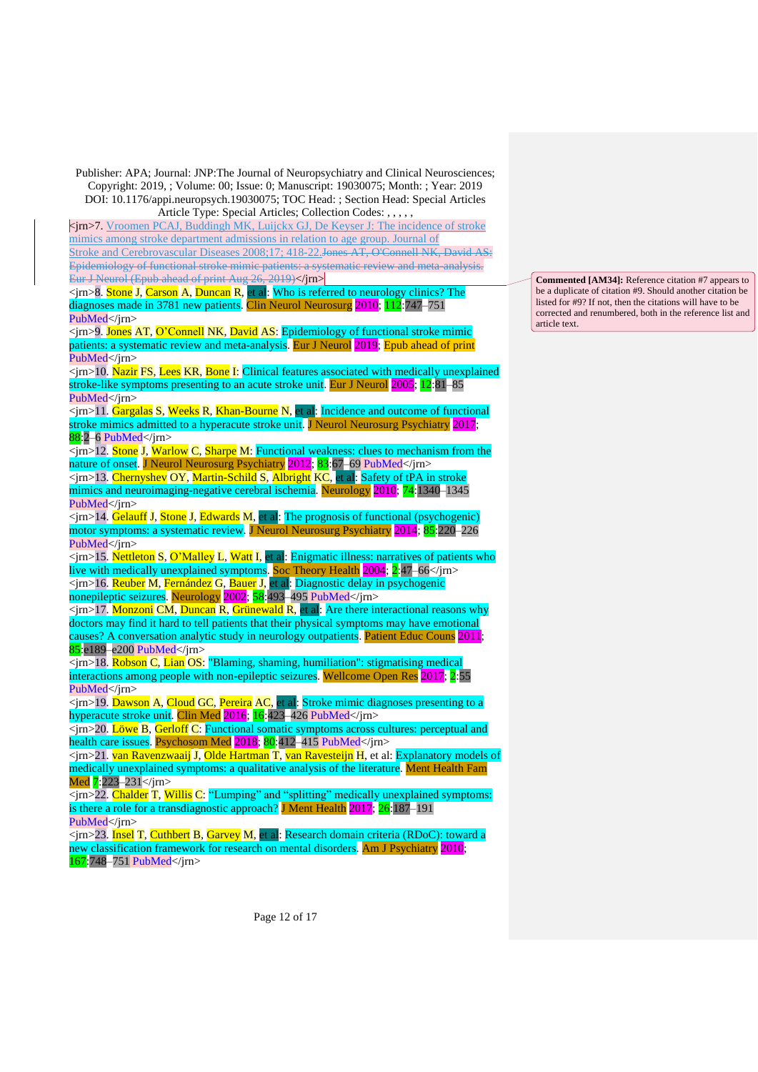Article Type: Special Articles; Collection Codes: , , , , , <jrn>7. Vroomen PCAJ, Buddingh MK, Luijckx GJ, De Keyser J: The incidence of stroke mimics among stroke department admissions in relation to age group. Journal of Stroke and Cerebrovascular Diseases 2008;17; 418-22.Jones AT, O'Connell NK, David AS: Epidemiology of functional stroke mimic patients: a systematic review and meta-analysis. Eur J Neurol (Epub ahead of print Aug 26, 2019)</jrn>

<jrn>8. Stone J, Carson A, Duncan R, et al: Who is referred to neurology clinics? The diagnoses made in 378[1](https://www.ncbi.nlm.nih.gov/entrez/query.fcgi?cmd=Retrieve&db=PubMed&list_uids=20646830&dopt=Abstract) new patients. Clin Neurol Neurosurg 2010; 112:747–751 [PubMed<](https://www.ncbi.nlm.nih.gov/entrez/query.fcgi?cmd=Retrieve&db=PubMed&list_uids=20646830&dopt=Abstract)/jrn>

<jrn>9. Jones AT, O'Connell NK, David AS: Epidemiology of functional stroke mimic patients: a systematic review and meta-analysis. Eur J Neurol 2019; Epub ahead of prin[t](https://www.ncbi.nlm.nih.gov/entrez/query.fcgi?cmd=Retrieve&db=PubMed&list_uids=31448489&dopt=Abstract) [PubMed<](https://www.ncbi.nlm.nih.gov/entrez/query.fcgi?cmd=Retrieve&db=PubMed&list_uids=31448489&dopt=Abstract)/irn>

<jrn>10. Nazir FS, Lees KR, Bone I: Clinical features associated with medically unexplained stroke-like symptoms presenting to an acute stroke unit. Eur J Neurol 2005; 12:81–8[5](https://www.ncbi.nlm.nih.gov/entrez/query.fcgi?cmd=Retrieve&db=PubMed&list_uids=15679694&dopt=Abstract) [PubMed<](https://www.ncbi.nlm.nih.gov/entrez/query.fcgi?cmd=Retrieve&db=PubMed&list_uids=15679694&dopt=Abstract)/irn>

<jrn>11. Gargalas S, Weeks R, Khan-Bourne N, et al: Incidence and outcome of functional stroke mimics admitted to a hyperacute stroke unit. J Neurol Neurosurg Psychiatry 2017; 88:2–6 [PubMed<](https://www.ncbi.nlm.nih.gov/entrez/query.fcgi?cmd=Retrieve&db=PubMed&list_uids=26319438&dopt=Abstract)/jrn>

<jrn>12. Stone J, Warlow C, Sharpe M: Functional weakness: clues to mechanism from the nature of onset. J Neurol Neurosurg Psychiatry 2012; 83:67–69 [PubMed<](https://www.ncbi.nlm.nih.gov/entrez/query.fcgi?cmd=Retrieve&db=PubMed&list_uids=21836030&dopt=Abstract)/jrn>

<jrn>13. Chernyshev OY, Martin-Schild S, Albright KC, et al: Safety of tPA in stroke mimics and neuroimaging-negative cerebral ischemia. Neurology 2010; 74:1340-134[5](https://www.ncbi.nlm.nih.gov/entrez/query.fcgi?cmd=Retrieve&db=PubMed&list_uids=20335564&dopt=Abstract) [PubMed<](https://www.ncbi.nlm.nih.gov/entrez/query.fcgi?cmd=Retrieve&db=PubMed&list_uids=20335564&dopt=Abstract)/jrn>

 $\langle \sin \theta | 14$ . Gelauff J, Stone J, Edwards M, et al: The prognosis of functional (psychogenic) motor symptoms: a systematic review. J Neurol Neurosurg Psychiatry 2014; 85:220–22[6](https://www.ncbi.nlm.nih.gov/entrez/query.fcgi?cmd=Retrieve&db=PubMed&list_uids=24029543&dopt=Abstract) [PubMed<](https://www.ncbi.nlm.nih.gov/entrez/query.fcgi?cmd=Retrieve&db=PubMed&list_uids=24029543&dopt=Abstract)/jrn>

<jrn>15. Nettleton S, O'Malley L, Watt I, et al: Enigmatic illness: narratives of patients who live with medically unexplained symptoms. Soc Theory Health 2004; 2:47–66</jrn> <jrn>16. Reuber M, Fernández G, Bauer J, et al: Diagnostic delay in psychogenic nonepileptic seizures. Neurology 2002; 58:493–495 [PubMed<](https://www.ncbi.nlm.nih.gov/entrez/query.fcgi?cmd=Retrieve&db=PubMed&list_uids=11839862&dopt=Abstract)/jrn>

<jrn>17. Monzoni CM, Duncan R, Grünewald R, et al: Are there interactional reasons why doctors may find it hard to tell patients that their physical symptoms may have emotional causes? A conversation analytic study in neurology outpatients. Patient Educ Couns 2011; 85:e189–e200 [PubMed<](https://www.ncbi.nlm.nih.gov/entrez/query.fcgi?cmd=Retrieve&db=PubMed&list_uids=21835573&dopt=Abstract)/jrn>

 $\langle \sin \rangle$  18. Robson C, Lian OS: "Blaming, shaming, humiliation": stigmatising medical interactions among people with non-epileptic seizures. Wellcome Open Res 2017; 2:5[5](https://www.ncbi.nlm.nih.gov/entrez/query.fcgi?cmd=Retrieve&db=PubMed&list_uids=29152594&dopt=Abstract) [PubMed<](https://www.ncbi.nlm.nih.gov/entrez/query.fcgi?cmd=Retrieve&db=PubMed&list_uids=29152594&dopt=Abstract)/jrn>

<jrn>19. Dawson A, Cloud GC, Pereira AC, et al: Stroke mimic diagnoses presenting to a hyperacute stroke unit. Clin Med 2016; 16:423–426 [PubMed<](https://www.ncbi.nlm.nih.gov/entrez/query.fcgi?cmd=Retrieve&db=PubMed&list_uids=27697802&dopt=Abstract)/jrn>

<jrn>20. Löwe B, Gerloff C: Functional somatic symptoms across cultures: perceptual and health care issues. Psychosom Med 2018; 80:412–415 [PubMed<](https://www.ncbi.nlm.nih.gov/entrez/query.fcgi?cmd=Retrieve&db=PubMed&list_uids=29677034&dopt=Abstract)/jrn>

<jrn>21. van Ravenzwaaij J, Olde Hartman T, van Ravesteijn H, et al: Explanatory models of medically unexplained symptoms: a qualitative analysis of the literature. Ment Health Fam Med 7:223-231</jrn>

<jrn>22. Chalder T, Willis C: "Lumping" and "splitting" medically unexplained symptoms: is there a role for a transdiagnostic approach? J Ment Health 2017; 26:187–19[1](https://www.ncbi.nlm.nih.gov/entrez/query.fcgi?cmd=Retrieve&db=PubMed&list_uids=28485682&dopt=Abstract) [PubMed<](https://www.ncbi.nlm.nih.gov/entrez/query.fcgi?cmd=Retrieve&db=PubMed&list_uids=28485682&dopt=Abstract)/jrn>

<jrn>23. Insel T, Cuthbert B, Garvey M, et al: Research domain criteria (RDoC): toward a new classification framework for research on mental disorders. Am J Psychiatry 2010; 167:748–751 [PubMed<](https://www.ncbi.nlm.nih.gov/entrez/query.fcgi?cmd=Retrieve&db=PubMed&list_uids=20595427&dopt=Abstract)/jrn>

**Commented [AM34]:** Reference citation #7 appears to be a duplicate of citation #9. Should another citation be listed for #9? If not, then the citations will have to be corrected and renumbered, both in the reference list and article text.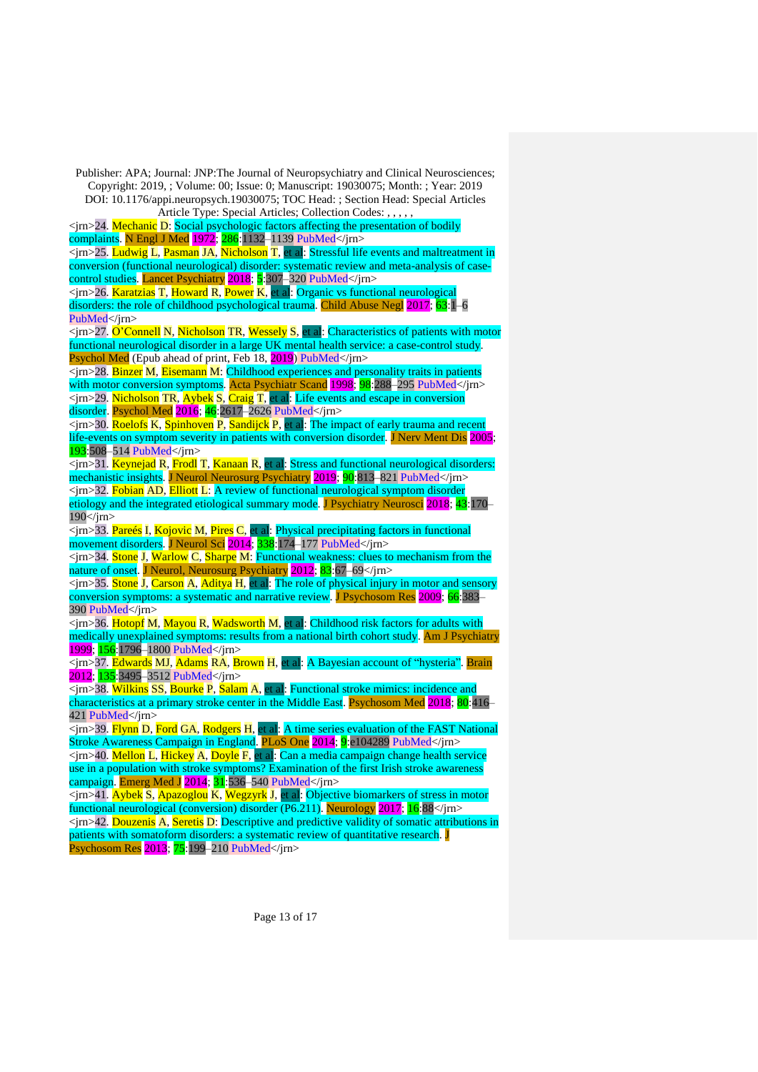<jrn>24. Mechanic D: Social psychologic factors affecting the presentation of bodily complaints. N Engl J Med 1972; 286:1132–1139 [PubMed<](https://www.ncbi.nlm.nih.gov/entrez/query.fcgi?cmd=Retrieve&db=PubMed&list_uids=4553340&dopt=Abstract)/jrn>

<jrn>25. Ludwig L, Pasman JA, Nicholson T, et al: Stressful life events and maltreatment in conversion (functional neurological) disorder: systematic review and meta-analysis of casecontrol studies. Lancet Psychiatry 2018; 5:307–320 [PubMed<](https://www.ncbi.nlm.nih.gov/entrez/query.fcgi?cmd=Retrieve&db=PubMed&list_uids=29526521&dopt=Abstract)/jrn>

<jrn>26. Karatzias T, Howard R, Power K, et al: Organic vs functional neurological disorders: the role of childhood psychological trauma. Child Abuse Negl 2017; [6](https://www.ncbi.nlm.nih.gov/entrez/query.fcgi?cmd=Retrieve&db=PubMed&list_uids=27886517&dopt=Abstract)3:1–6 [PubMed<](https://www.ncbi.nlm.nih.gov/entrez/query.fcgi?cmd=Retrieve&db=PubMed&list_uids=27886517&dopt=Abstract)/jrn>

<jrn>27. O'Connell N, Nicholson TR, Wessely S, et al: Characteristics of patients with motor functional neurological disorder in a large UK mental health service: a case-control study. Psychol Med (Epub ahead of print, Feb 18, 2019) [PubMed<](https://www.ncbi.nlm.nih.gov/entrez/query.fcgi?cmd=Retrieve&db=PubMed&list_uids=30773149&dopt=Abstract)/jrn>

<jrn>28. Binzer M, Eisemann M: Childhood experiences and personality traits in patients with motor conversion symptoms. Acta Psychiatr Scand 1998; 98:288–295 [PubMed<](https://www.ncbi.nlm.nih.gov/entrez/query.fcgi?cmd=Retrieve&db=PubMed&list_uids=9821450&dopt=Abstract)/jrn>  $\langle \sin \theta \rangle$  Nicholson TR, Aybek S, Craig T, et al: Life events and escape in conversion disorder. Psychol Med 2016; 46:2617–2626 [PubMed<](https://www.ncbi.nlm.nih.gov/entrez/query.fcgi?cmd=Retrieve&db=PubMed&list_uids=27377290&dopt=Abstract)/jrn>

<jrn>30. Roelofs K, Spinhoven P, Sandijck P, et al: The impact of early trauma and recent life-events on symptom severity in patients with conversion disorder. J Nerv Ment Dis<sup>2005</sup>; 193:508–514 [PubMed<](https://www.ncbi.nlm.nih.gov/entrez/query.fcgi?cmd=Retrieve&db=PubMed&list_uids=16082294&dopt=Abstract)/jrn>

 $\overline{\text{min}}$  31. Keynejad R, Frodl T, Kanaan R, et al: Stress and functional neurological disorders: mechanistic insights. J Neurol Neurosurg Psychiatry 2019; 90:813–821 [PubMed<](https://www.ncbi.nlm.nih.gov/entrez/query.fcgi?cmd=Retrieve&db=PubMed&list_uids=30409887&dopt=Abstract)/jrn>

<jrn>32. Fobian AD, Elliott L: A review of functional neurological symptom disorder etiology and the integrated etiological summary mode. J Psychiatry Neurosci 2018; 43:170– 190</jrn>

<jrn>33. Pareés I, Kojovic M, Pires C, et al: Physical precipitating factors in functional movement disorders. J Neurol Sci 2014; 338:174–177 [PubMed<](https://www.ncbi.nlm.nih.gov/entrez/query.fcgi?cmd=Retrieve&db=PubMed&list_uids=24439198&dopt=Abstract)/jrn>

<jrn>34. Stone J, Warlow C, Sharpe M: Functional weakness: clues to mechanism from the nature of onset. J Neurol, Neurosurg Psychiatry 2012; 83:67–69</jrn>

<jrn>35. Stone J, Carson A, Aditya H, et al: The role of physical injury in motor and sensory conversion symptoms: a systematic and narrative review. J Psychosom Res 2009; 66:383– 390 [PubMed<](https://www.ncbi.nlm.nih.gov/entrez/query.fcgi?cmd=Retrieve&db=PubMed&list_uids=19379954&dopt=Abstract)/jrn>

<jrn>36. Hotopf M, Mayou R, Wadsworth M, et al: Childhood risk factors for adults with medically unexplained symptoms: results from a national birth cohort study. Am J Psychiatry 1999; 156:1796–1800 [PubMed<](https://www.ncbi.nlm.nih.gov/entrez/query.fcgi?cmd=Retrieve&db=PubMed&list_uids=10553745&dopt=Abstract)/jrn>

<jrn>37. Edwards MJ, Adams RA, Brown H, et al: A Bayesian account of "hysteria". Brain 2012; 135:3495–3512 [PubMed<](https://www.ncbi.nlm.nih.gov/entrez/query.fcgi?cmd=Retrieve&db=PubMed&list_uids=22641838&dopt=Abstract)/jrn>

<jrn>38. Wilkins SS, Bourke P, Salam A, et al: Functional stroke mimics: incidence and characteristics at a primary stroke center in the Middle East. Psychosom Med 2018; 80:416– 421 [PubMed<](https://www.ncbi.nlm.nih.gov/entrez/query.fcgi?cmd=Retrieve&db=PubMed&list_uids=29394187&dopt=Abstract)/jrn>

<jrn>39. Flynn D, Ford GA, Rodgers H, et al: A time series evaluation of the FAST National Stroke Awareness Campaign in England. PLoS One 2014; 9:e104289 [PubMed<](https://www.ncbi.nlm.nih.gov/entrez/query.fcgi?cmd=Retrieve&db=PubMed&list_uids=25119714&dopt=Abstract)/jrn> <jrn>40. Mellon L, Hickey A, Doyle F, et al: Can a media campaign change health service

use in a population with stroke symptoms? Examination of the first Irish stroke awareness campaign. Emerg Med J  $2014$ ;  $31$ : 536–540 PubMed $\langle$ irn>

<jrn>41. Aybek S, Apazoglou K, Wegzyrk J, et al: Objective biomarkers of stress in motor functional neurological (conversion) disorder (P6.211). Neurology 2017; 16:88</jrn> <jrn>42. Douzenis A, Seretis D: Descriptive and predictive validity of somatic attributions in patients with somatoform disorders: a systematic review of quantitative research. J Psychosom Res 2013; 75:199–210 [PubMed<](https://www.ncbi.nlm.nih.gov/entrez/query.fcgi?cmd=Retrieve&db=PubMed&list_uids=23972408&dopt=Abstract)/jrn>

Page 13 of 17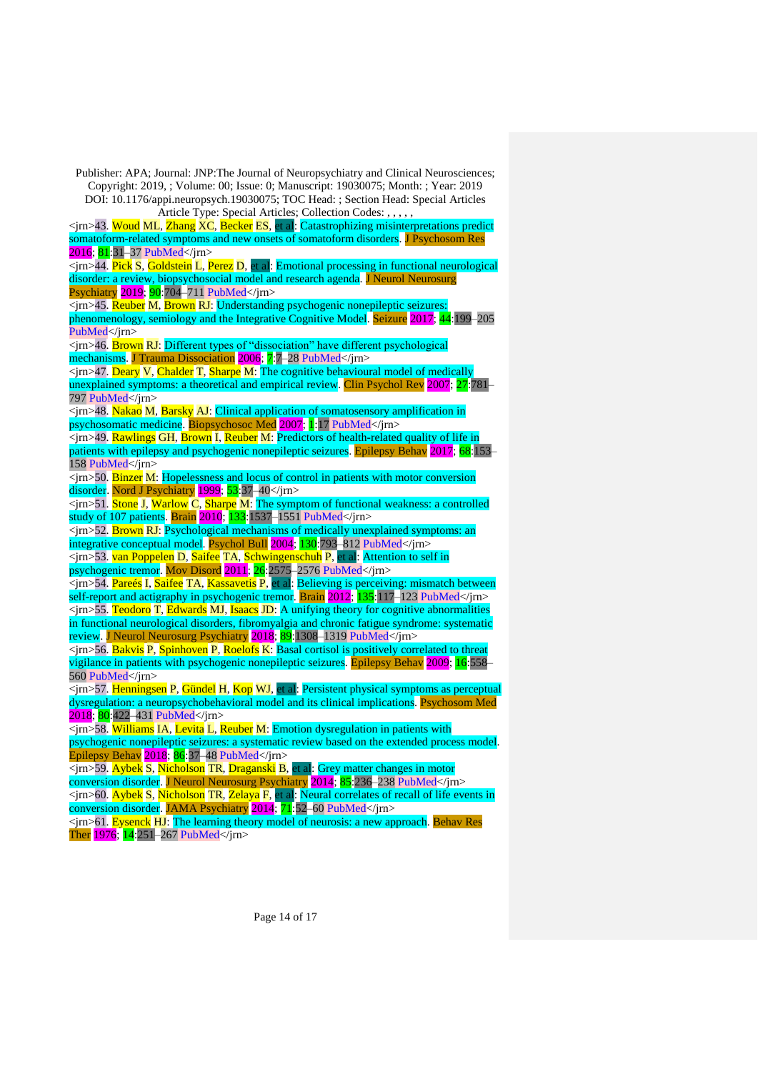Publisher: APA; Journal: JNP:The Journal of Neuropsychiatry and Clinical Neurosciences; Copyright: 2019, ; Volume: 00; Issue: 0; Manuscript: 19030075; Month: ; Year: 2019 DOI: 10.1176/appi.neuropsych.19030075; TOC Head: ; Section Head: Special Articles Article Type: Special Articles; Collection Codes: , , , , , <jrn>43. Woud ML, Zhang XC, Becker ES, et al: Catastrophizing misinterpretations predict somatoform-related symptoms and new onsets of somatoform disorders. J Psychosom Res 2016; 81:31–37 [PubMed<](https://www.ncbi.nlm.nih.gov/entrez/query.fcgi?cmd=Retrieve&db=PubMed&list_uids=26800636&dopt=Abstract)/jrn>  $\overline{\text{Sim}}$  44. Pick S, Goldstein L, Perez D, et al: Emotional processing in functional neurological disorder: a review, biopsychosocial model and research agenda. J Neurol Neurosurg Psychiatry 2019; 90:704–711 [PubMed<](https://www.ncbi.nlm.nih.gov/entrez/query.fcgi?cmd=Retrieve&db=PubMed&list_uids=30455406&dopt=Abstract)/jrn> <jrn>45. Reuber M, Brown RJ: Understanding psychogenic nonepileptic seizures: phenomenology, semiology and the Integrative Cognitive Model. Seizure 2017; 44:199–20[5](https://www.ncbi.nlm.nih.gov/entrez/query.fcgi?cmd=Retrieve&db=PubMed&list_uids=27988107&dopt=Abstract) [PubMed<](https://www.ncbi.nlm.nih.gov/entrez/query.fcgi?cmd=Retrieve&db=PubMed&list_uids=27988107&dopt=Abstract)/jrn> <jrn>46. Brown RJ: Different types of "dissociation" have different psychological mechanisms. J Trauma Dissociation 2006; 7:7–28 [PubMed<](https://www.ncbi.nlm.nih.gov/entrez/query.fcgi?cmd=Retrieve&db=PubMed&list_uids=17182491&dopt=Abstract)/jrn>  $\leq$ irn $>$ 47. Deary V, Chalder T, Sharpe M: The cognitive behavioural model of medically unexplained symptoms: a theoretical and empirical review. Clin Psychol Rev 2007; 27:781– 797 [PubMed<](https://www.ncbi.nlm.nih.gov/entrez/query.fcgi?cmd=Retrieve&db=PubMed&list_uids=17822818&dopt=Abstract)/jrn> <jrn>48. Nakao M, Barsky AJ: Clinical application of somatosensory amplification in psychosomatic medicine. Biopsychosoc Med 2007; 1:17 [PubMed<](https://www.ncbi.nlm.nih.gov/entrez/query.fcgi?cmd=Retrieve&db=PubMed&list_uids=17925010&dopt=Abstract)/jrn> <jrn>49. Rawlings GH, Brown I, Reuber M: Predictors of health-related quality of life in patients with epilepsy and psychogenic nonepileptic seizures. Epilepsy Behav 2017; 68:153– 158 [PubMed<](https://www.ncbi.nlm.nih.gov/entrez/query.fcgi?cmd=Retrieve&db=PubMed&list_uids=28189920&dopt=Abstract)/jrn> <jrn>50. Binzer M: Hopelessness and locus of control in patients with motor conversion disorder. Nord J Psychiatry 1999; 53:37-40</jrn> <jrn>51. Stone J, Warlow C, Sharpe M: The symptom of functional weakness: a controlled study of 107 patients. Brain 2010; 133:1537–1551 [PubMed<](https://www.ncbi.nlm.nih.gov/entrez/query.fcgi?cmd=Retrieve&db=PubMed&list_uids=20395262&dopt=Abstract)/jrn> <jrn>52. Brown RJ: Psychological mechanisms of medically unexplained symptoms: an integrative conceptual model. Psychol Bull 2004; 130:793–812 [PubMed<](https://www.ncbi.nlm.nih.gov/entrez/query.fcgi?cmd=Retrieve&db=PubMed&list_uids=15367081&dopt=Abstract)/jrn> <jrn>53. van Poppelen D, Saifee TA, Schwingenschuh P, et al: Attention to self in psychogenic tremor. Mov Disord 2011; 26:2575–2576 [PubMed<](https://www.ncbi.nlm.nih.gov/entrez/query.fcgi?cmd=Retrieve&db=PubMed&list_uids=22025317&dopt=Abstract)/jrn> <jrn>54. Pareés I, Saifee TA, Kassavetis P, et al: Believing is perceiving: mismatch between self-report and actigraphy in psychogenic tremor. Brain 2012; 135:117-123 [PubMed<](https://www.ncbi.nlm.nih.gov/entrez/query.fcgi?cmd=Retrieve&db=PubMed&list_uids=22075068&dopt=Abstract)/irn>  $\langle$ jrn>55. Teodoro T, Edwards MJ, Isaacs JD: A unifying theory for cognitive abnormalities in functional neurological disorders, fibromyalgia and chronic fatigue syndrome: systematic review. J Neurol Neurosurg Psychiatry 2018; 89:1308-1319 [PubMed<](https://www.ncbi.nlm.nih.gov/entrez/query.fcgi?cmd=Retrieve&db=PubMed&list_uids=29735513&dopt=Abstract)/jm> <jrn>56. Bakvis P, Spinhoven P, Roelofs K: Basal cortisol is positively correlated to threat vigilance in patients with psychogenic nonepileptic seizures. Epilepsy Behav 2009; 16:558– 560 [PubMed<](https://www.ncbi.nlm.nih.gov/entrez/query.fcgi?cmd=Retrieve&db=PubMed&list_uids=19818692&dopt=Abstract)/jrn>  $\overline{\text{p}}$  =  $\frac{1}{2}$ . Henningsen P, Gündel H, Kop WJ, et al: Persistent physical symptoms as perceptual dysregulation: a neuropsychobehavioral model and its clinical implications. Psychosom Med 2018; 80:422–431 [PubMed<](https://www.ncbi.nlm.nih.gov/entrez/query.fcgi?cmd=Retrieve&db=PubMed&list_uids=29621046&dopt=Abstract)/jrn> <jrn>58. Williams IA, Levita L, Reuber M: Emotion dysregulation in patients with psychogenic nonepileptic seizures: a systematic review based on the extended process model. Epilepsy Behav 2018; 86:37–48 [PubMed<](https://www.ncbi.nlm.nih.gov/entrez/query.fcgi?cmd=Retrieve&db=PubMed&list_uids=30075361&dopt=Abstract)/jrn> <jrn>59. Aybek S, Nicholson TR, Draganski B, et al: Grey matter changes in motor conversion disorder. J Neurol Neurosurg Psychiatry 2014; 85:236–238 [PubMed<](https://www.ncbi.nlm.nih.gov/entrez/query.fcgi?cmd=Retrieve&db=PubMed&list_uids=23236016&dopt=Abstract)/jrn> <jrn>60. Aybek S, Nicholson TR, Zelaya F, et al: Neural correlates of recall of life events in conversion disorder. JAMA Psychiatry 2014; 71:52-60 [PubMed<](https://www.ncbi.nlm.nih.gov/entrez/query.fcgi?cmd=Retrieve&db=PubMed&list_uids=24258270&dopt=Abstract)/jrn> <jrn>61. Eysenck HJ: The learning theory model of neurosis: a new approach. Behav Res Ther 1976; 14:251-267 [PubMed<](https://www.ncbi.nlm.nih.gov/entrez/query.fcgi?cmd=Retrieve&db=PubMed&list_uids=962779&dopt=Abstract)/jrn>

Page 14 of 17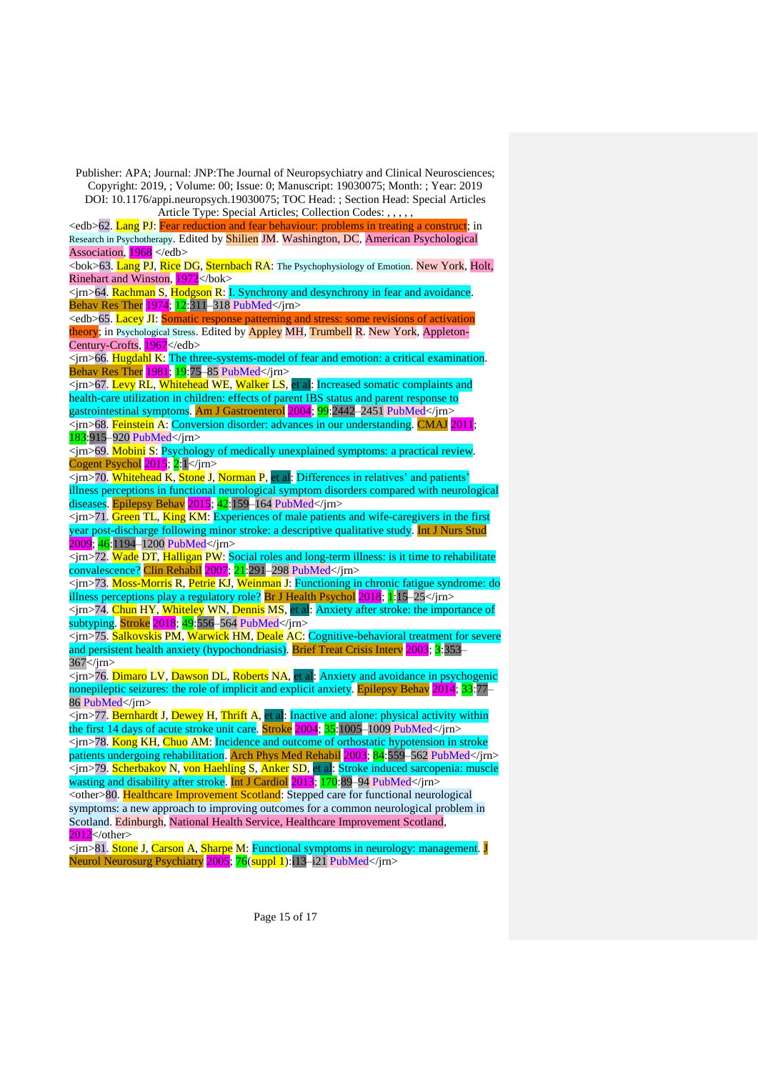$\le$ edb $\ge$ 62. Lang PJ: Fear reduction and fear behaviour: problems in treating a construct; in Research in Psychotherapy. Edited by Shilien JM. Washington, DC, American Psychological Association, 1968 </edb>

<bok>63. Lang PJ, Rice DG, Sternbach RA: The Psychophysiology of Emotion. New York, Holt, Rinehart and Winston, 1972</bok>

 $\leq$ jrn $>$ 64. Rachman S, Hodgson R: I. Synchrony and desynchrony in fear and avoidance. Behav Res Ther 1974; 12:311–318 [PubMed<](https://www.ncbi.nlm.nih.gov/entrez/query.fcgi?cmd=Retrieve&db=PubMed&list_uids=4155621&dopt=Abstract)/jrn>

 $\leq$ edb $\geq$ 65. Lacey JI: Somatic response patterning and stress: some revisions of activation theory; in Psychological Stress. Edited by Appley MH, Trumbell R. New York, Appleton-Century-Crofts, 1967</edb>

<jrn>66. Hugdahl K: The three-systems-model of fear and emotion: a critical examination. Behav Res Ther 1981; 19:75–85 [PubMed<](https://www.ncbi.nlm.nih.gov/entrez/query.fcgi?cmd=Retrieve&db=PubMed&list_uids=7225039&dopt=Abstract)/jrn>

 $\langle \sin \sqrt{67} \cdot \text{Levy} \cdot \text{RL} \cdot \text{Whitehead} \cdot \text{WE} \cdot \text{Walker} \cdot \text{LS}$ , et al: Increased somatic complaints and health-care utilization in children: effects of parent IBS status and parent response to gastrointestinal symptoms. Am J Gastroenterol 2004; 99:2442–2451 [PubMed<](https://www.ncbi.nlm.nih.gov/entrez/query.fcgi?cmd=Retrieve&db=PubMed&list_uids=15571594&dopt=Abstract)/jrn>

<jrn>68. Feinstein A: Conversion disorder: advances in our understanding. CMAJ 2011; 183:915–920 [PubMed<](https://www.ncbi.nlm.nih.gov/entrez/query.fcgi?cmd=Retrieve&db=PubMed&list_uids=21502352&dopt=Abstract)/jrn>

<jrn>69. Mobini S: Psychology of medically unexplained symptoms: a practical review. Cogent Psychol  $2015$ ;  $2:1$  </jrn>

 $\overline{\text{Simp}}$  70. Whitehead K, Stone J, Norman P, et al: Differences in relatives' and patients' illness perceptions in functional neurological symptom disorders compared with neurological diseases. Epilepsy Behav 2015; 42:159–164 [PubMed<](https://www.ncbi.nlm.nih.gov/entrez/query.fcgi?cmd=Retrieve&db=PubMed&list_uids=25516111&dopt=Abstract)/jrn>

 $\langle \sin \sqrt{71} \cdot \sin \sqrt{71} \cdot \sin \sqrt{71} \cdot \sin \sqrt{71} \cdot \sin \sqrt{71} \cdot \sin \sqrt{71} \cdot \sin \sqrt{71} \cdot \sin \sqrt{71} \cdot \sin \sqrt{71} \cdot \sin \sqrt{71} \cdot \sin \sqrt{71} \cdot \sin \sqrt{71} \cdot \sin \sqrt{71} \cdot \sin \sqrt{71} \cdot \sin \sqrt{71} \cdot \sin \sqrt{71} \cdot \sin \sqrt{71} \cdot \sin \sqrt{71} \cdot \sin \sqrt{71} \cdot \sin \sqrt{71} \cdot \sin \sqrt{71} \cdot \sin \sqrt{71}$ year post-discharge following minor stroke: a descriptive qualitative study. Int J Nurs Stud 2009; 46:1194–1200 [PubMed<](https://www.ncbi.nlm.nih.gov/entrez/query.fcgi?cmd=Retrieve&db=PubMed&list_uids=19303597&dopt=Abstract)/jrn>

 $\overline{\text{p}}$  /sm  $\overline{\text{p}}$  2. Wade DT, Halligan PW: Social roles and long-term illness: is it time to rehabilitate convalescence? Clin Rehabil 2007; 21:291–298 [PubMed<](https://www.ncbi.nlm.nih.gov/entrez/query.fcgi?cmd=Retrieve&db=PubMed&list_uids=17613570&dopt=Abstract)/jrn>

<jrn>73. Moss-Morris R, Petrie KJ, Weinman J: Functioning in chronic fatigue syndrome: do illness perceptions play a regulatory role? Br J Health Psychol 2018; 1:15–25</jrn>

<jrn>74. Chun HY, Whiteley WN, Dennis MS, et al: Anxiety after stroke: the importance of subtyping. Stroke 2018; 49:556–564 [PubMed<](https://www.ncbi.nlm.nih.gov/entrez/query.fcgi?cmd=Retrieve&db=PubMed&list_uids=29437982&dopt=Abstract)/jrn>

<jrn>75. Salkovskis PM, Warwick HM, Deale AC: Cognitive-behavioral treatment for severe and persistent health anxiety (hypochondriasis). Brief Treat Crisis Interv 2003; 3:353–  $367$   $\langle$  irn  $>$ 

<jrn>76. Dimaro LV, Dawson DL, Roberts NA, et al: Anxiety and avoidance in psychogenic nonepileptic seizures: the role of implicit and explicit anxiety. Epilepsy Behav  $2014$ ;  $33:77-$ 86 [PubMed<](https://www.ncbi.nlm.nih.gov/entrez/query.fcgi?cmd=Retrieve&db=PubMed&list_uids=24632427&dopt=Abstract)/jrn>

<jrn>77. Bernhardt J, Dewey H, Thrift A, et al: Inactive and alone: physical activity within the first 14 days of acute stroke unit care. Stroke 2004; 35:1005-1009 [PubMed<](https://www.ncbi.nlm.nih.gov/entrez/query.fcgi?cmd=Retrieve&db=PubMed&list_uids=14988574&dopt=Abstract)/jrn>

<jrn>78. Kong KH, Chuo AM: Incidence and outcome of orthostatic hypotension in stroke patients undergoing rehabilitation. Arch Phys Med Rehabil 2003; 84:559–562 [PubMed<](https://www.ncbi.nlm.nih.gov/entrez/query.fcgi?cmd=Retrieve&db=PubMed&list_uids=12690595&dopt=Abstract)/jrn> <jrn>79. Scherbakov N, von Haehling S, Anker SD, et al: Stroke induced sarcopenia: muscle wasting and disability after stroke. Int J Cardiol 2013; 170:89–94 [PubMed<](https://www.ncbi.nlm.nih.gov/entrez/query.fcgi?cmd=Retrieve&db=PubMed&list_uids=24231058&dopt=Abstract)/jrn>

<other>80. Healthcare Improvement Scotland: Stepped care for functional neurological symptoms: a new approach to improving outcomes for a common neurological problem in Scotland. Edinburgh, National Health Service, Healthcare Improvement Scotland,  $2012$  </other>

 $\overline{\text{Sim-81}}$ . Stone J, Carson A, Sharpe M: Functional symptoms in neurology: management. J Neurol Neurosurg Psychiatry 2005; 76(suppl 1):i13–i21 [PubMed<](https://www.ncbi.nlm.nih.gov/entrez/query.fcgi?cmd=Retrieve&db=PubMed&list_uids=15718216&dopt=Abstract)/jrn>

Page 15 of 17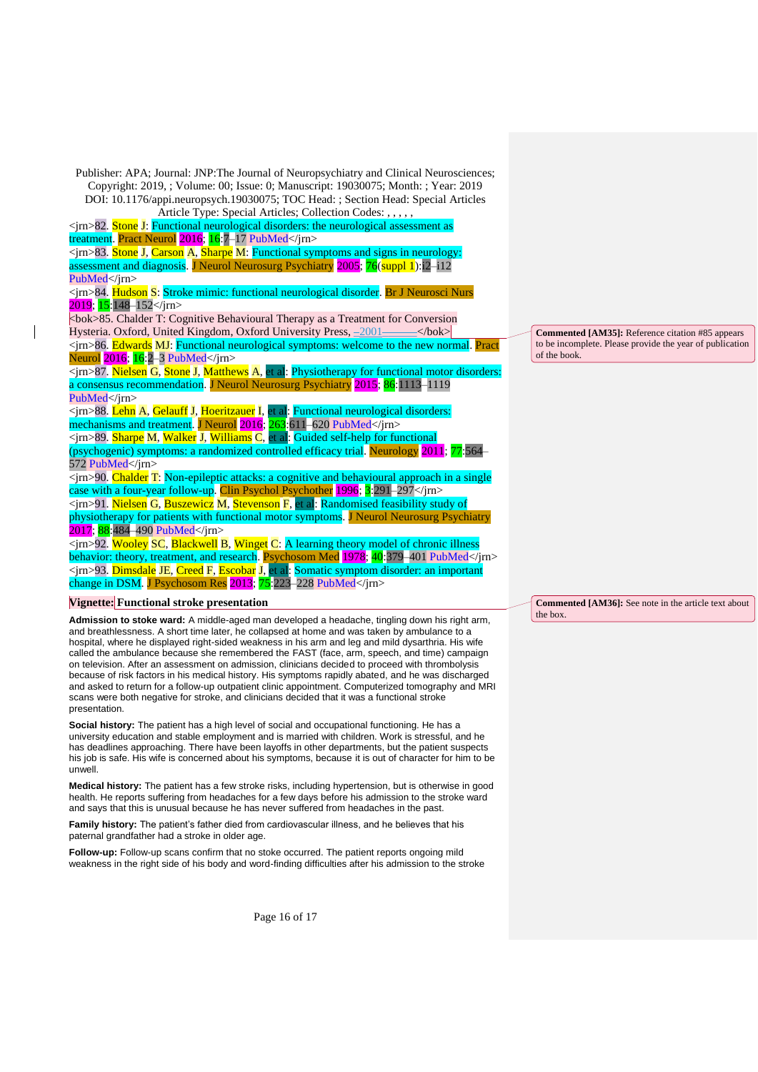<jrn>82. Stone J: Functional neurological disorders: the neurological assessment as

treatment. Pract Neurol 2016; 16:7–17 [PubMed<](https://www.ncbi.nlm.nih.gov/entrez/query.fcgi?cmd=Retrieve&db=PubMed&list_uids=26715762&dopt=Abstract)/jrn>

<jrn>83. Stone J, Carson A, Sharpe M: Functional symptoms and signs in neurology: assessment and diagnosis. J Neurol Neurosurg Psychiatry 2005; 76(suppl 1):i2–i1[2](https://www.ncbi.nlm.nih.gov/entrez/query.fcgi?cmd=Retrieve&db=PubMed&list_uids=15718217&dopt=Abstract) [PubMed<](https://www.ncbi.nlm.nih.gov/entrez/query.fcgi?cmd=Retrieve&db=PubMed&list_uids=15718217&dopt=Abstract)/irn>

<jrn>84. Hudson S: Stroke mimic: functional neurological disorder. Br J Neurosci Nurs 2019; 15:148–152</jrn>

<bok>85. Chalder T: Cognitive Behavioural Therapy as a Treatment for Conversion Hysteria. Oxford, United Kingdom, Oxford University Press, \_2001\_\_\_\_\_\_</bok> <jrn>86. Edwards MJ: Functional neurological symptoms: welcome to the new normal. Pract Neurol 2016; 16:2–3 [PubMed<](https://www.ncbi.nlm.nih.gov/entrez/query.fcgi?cmd=Retrieve&db=PubMed&list_uids=26769760&dopt=Abstract)/jrn>

<jrn>87. Nielsen G, Stone J, Matthews A, et al: Physiotherapy for functional motor disorders: a consensus recommendation. J Neurol Neurosurg Psychiatry 2015; 86:1113–111[9](https://www.ncbi.nlm.nih.gov/entrez/query.fcgi?cmd=Retrieve&db=PubMed&list_uids=25433033&dopt=Abstract) [PubMed<](https://www.ncbi.nlm.nih.gov/entrez/query.fcgi?cmd=Retrieve&db=PubMed&list_uids=25433033&dopt=Abstract)/jrn>

<jrn>88. Lehn A, Gelauff J, Hoeritzauer I, et al: Functional neurological disorders: mechanisms and treatment. J Neurol 2016; 263:611–620 [PubMed<](https://www.ncbi.nlm.nih.gov/entrez/query.fcgi?cmd=Retrieve&db=PubMed&list_uids=26410744&dopt=Abstract)/jrn> <jrn>89. Sharpe M, Walker J, Williams C, et al: Guided self-help for functional (psychogenic) symptoms: a randomized controlled efficacy trial. Neurology 2011; 77:564– 572 [PubMed<](https://www.ncbi.nlm.nih.gov/entrez/query.fcgi?cmd=Retrieve&db=PubMed&list_uids=21795652&dopt=Abstract)/jrn>

<jrn>90. Chalder T: Non-epileptic attacks: a cognitive and behavioural approach in a single case with a four-year follow-up. Clin Psychol Psychother 1996; 3:291–297</jrn> <jrn>91. Nielsen G, Buszewicz M, Stevenson F, et al: Randomised feasibility study of physiotherapy for patients with functional motor symptoms. J Neurol Neurosurg Psychiatry 2017; 88:484–490 [PubMed<](https://www.ncbi.nlm.nih.gov/entrez/query.fcgi?cmd=Retrieve&db=PubMed&list_uids=27694498&dopt=Abstract)/jrn>

<jrn>92. Wooley SC, Blackwell B, Winget C: A learning theory model of chronic illness behavior: theory, treatment, and research. Psychosom Med 1978; 40:379–401 [PubMed<](https://www.ncbi.nlm.nih.gov/entrez/query.fcgi?cmd=Retrieve&db=PubMed&list_uids=715141&dopt=Abstract)/jm> <jrn>93. Dimsdale JE, Creed F, Escobar J, et al: Somatic symptom disorder: an important change in DSM. J Psychosom Res 2013; 75:223–228 [PubMed<](https://www.ncbi.nlm.nih.gov/entrez/query.fcgi?cmd=Retrieve&db=PubMed&list_uids=23972410&dopt=Abstract)/jrn>

## **Vignette: Functional stroke presentation**

**Admission to stoke ward:** A middle-aged man developed a headache, tingling down his right arm, and breathlessness. A short time later, he collapsed at home and was taken by ambulance to a hospital, where he displayed right-sided weakness in his arm and leg and mild dysarthria. His wife called the ambulance because she remembered the FAST (face, arm, speech, and time) campaign on television. After an assessment on admission, clinicians decided to proceed with thrombolysis because of risk factors in his medical history. His symptoms rapidly abated, and he was discharged and asked to return for a follow-up outpatient clinic appointment. Computerized tomography and MRI scans were both negative for stroke, and clinicians decided that it was a functional stroke presentation.

**Social history:** The patient has a high level of social and occupational functioning. He has a university education and stable employment and is married with children. Work is stressful, and he has deadlines approaching. There have been layoffs in other departments, but the patient suspects his job is safe. His wife is concerned about his symptoms, because it is out of character for him to be unwell.

**Medical history:** The patient has a few stroke risks, including hypertension, but is otherwise in good health. He reports suffering from headaches for a few days before his admission to the stroke ward and says that this is unusual because he has never suffered from headaches in the past.

**Family history:** The patient's father died from cardiovascular illness, and he believes that his paternal grandfather had a stroke in older age.

**Follow-up:** Follow-up scans confirm that no stoke occurred. The patient reports ongoing mild weakness in the right side of his body and word-finding difficulties after his admission to the stroke

**Commented [AM35]:** Reference citation #85 appears to be incomplete. Please provide the year of publication of the book.

**Commented [AM36]:** See note in the article text about the box.

Page 16 of 17